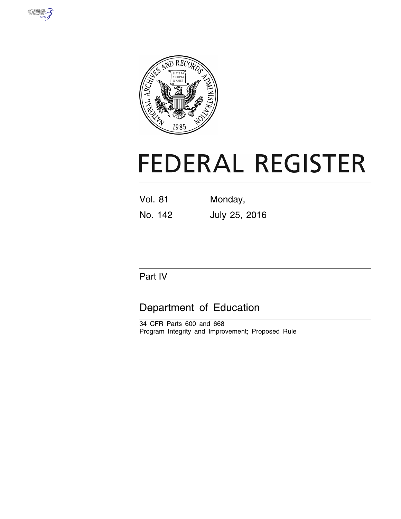



# **FEDERAL REGISTER**

Vol. 81 Monday, No. 142 July 25, 2016

# Part IV

# Department of Education

34 CFR Parts 600 and 668 Program Integrity and Improvement; Proposed Rule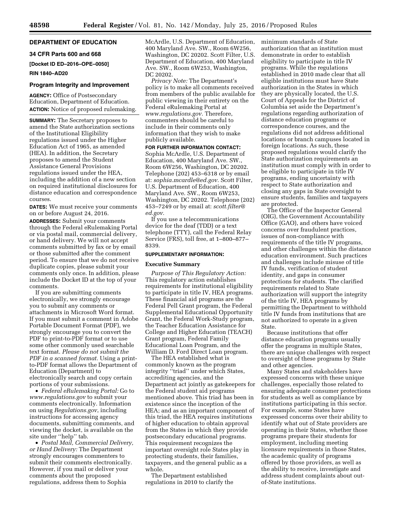# **DEPARTMENT OF EDUCATION**

#### **34 CFR Parts 600 and 668**

**[Docket ID ED–2016–OPE–0050]** 

# **RIN 1840–AD20**

## **Program Integrity and Improvement**

**AGENCY:** Office of Postsecondary Education, Department of Education. **ACTION:** Notice of proposed rulemaking.

**SUMMARY:** The Secretary proposes to amend the State authorization sections of the Institutional Eligibility regulations issued under the Higher Education Act of 1965, as amended (HEA). In addition, the Secretary proposes to amend the Student Assistance General Provisions regulations issued under the HEA, including the addition of a new section on required institutional disclosures for distance education and correspondence courses.

**DATES:** We must receive your comments on or before August 24, 2016.

**ADDRESSES:** Submit your comments through the Federal eRulemaking Portal or via postal mail, commercial delivery, or hand delivery. We will not accept comments submitted by fax or by email or those submitted after the comment period. To ensure that we do not receive duplicate copies, please submit your comments only once. In addition, please include the Docket ID at the top of your comments.

If you are submitting comments electronically, we strongly encourage you to submit any comments or attachments in Microsoft Word format. If you must submit a comment in Adobe Portable Document Format (PDF), we strongly encourage you to convert the PDF to print-to-PDF format or to use some other commonly used searchable text format. *Please do not submit the PDF in a scanned format.* Using a printto-PDF format allows the Department of Education (Department) to electronically search and copy certain portions of your submissions.

• *Federal eRulemaking Portal:* Go to *[www.regulations.gov](http://www.regulations.gov)* to submit your comments electronically. Information on using *Regulations.gov*, including instructions for accessing agency documents, submitting comments, and viewing the docket, is available on the site under "help" tab.

• *Postal Mail, Commercial Delivery, or Hand Delivery:* The Department strongly encourages commenters to submit their comments electronically. However, if you mail or deliver your comments about the proposed regulations, address them to Sophia

McArdle, U.S. Department of Education, 400 Maryland Ave. SW., Room 6W256, Washington, DC 20202. Scott Filter, U.S. Department of Education, 400 Maryland Ave. SW., Room 6W253, Washington, DC 20202.

*Privacy Note:* The Department's policy is to make all comments received from members of the public available for public viewing in their entirety on the Federal eRulemaking Portal at *[www.regulations.gov.](http://www.regulations.gov)* Therefore, commenters should be careful to include in their comments only information that they wish to make publicly available.

# **FOR FURTHER INFORMATION CONTACT:**

Sophia McArdle, U.S. Department of Education, 400 Maryland Ave. SW., Room 6W256, Washington, DC 20202. Telephone (202) 453–6318 or by email at: *[sophia.mcardle@ed.gov.](mailto:sophia.mcardle@ed.gov)* Scott Filter, U.S. Department of Education, 400 Maryland Ave. SW., Room 6W253, Washington, DC 20202. Telephone (202) 453–7249 or by email at: *[scott.filter@](mailto:scott.filter@ed.gov) [ed.gov.](mailto:scott.filter@ed.gov)* 

If you use a telecommunications device for the deaf (TDD) or a text telephone (TTY), call the Federal Relay Service (FRS), toll free, at 1–800–877– 8339.

#### **SUPPLEMENTARY INFORMATION:**

#### **Executive Summary**

*Purpose of This Regulatory Action:*  This regulatory action establishes requirements for institutional eligibility to participate in title IV, HEA programs. These financial aid programs are the Federal Pell Grant program, the Federal Supplemental Educational Opportunity Grant, the Federal Work-Study program, the Teacher Education Assistance for College and Higher Education (TEACH) Grant program, Federal Family Educational Loan Program, and the William D. Ford Direct Loan program.

The HEA established what is commonly known as the program integrity ''triad'' under which States, accrediting agencies, and the Department act jointly as gatekeepers for the Federal student aid programs mentioned above. This triad has been in existence since the inception of the HEA; and as an important component of this triad, the HEA requires institutions of higher education to obtain approval from the States in which they provide postsecondary educational programs. This requirement recognizes the important oversight role States play in protecting students, their families, taxpayers, and the general public as a whole.

The Department established regulations in 2010 to clarify the minimum standards of State authorization that an institution must demonstrate in order to establish eligibility to participate in title IV programs. While the regulations established in 2010 made clear that all eligible institutions must have State authorization in the States in which they are physically located, the U.S. Court of Appeals for the District of Columbia set aside the Department's regulations regarding authorization of distance education programs or correspondence courses, and the regulations did not address additional locations or branch campuses located in foreign locations. As such, these proposed regulations would clarify the State authorization requirements an institution must comply with in order to be eligible to participate in title IV programs, ending uncertainty with respect to State authorization and closing any gaps in State oversight to ensure students, families and taxpayers are protected.

The Office of the Inspector General (OIG), the Government Accountability Office (GAO), and others have voiced concerns over fraudulent practices, issues of non-compliance with requirements of the title IV programs, and other challenges within the distance education environment. Such practices and challenges include misuse of title IV funds, verification of student identity, and gaps in consumer protections for students. The clarified requirements related to State authorization will support the integrity of the title IV, HEA programs by permitting the Department to withhold title IV funds from institutions that are not authorized to operate in a given State.

Because institutions that offer distance education programs usually offer the programs in multiple States, there are unique challenges with respect to oversight of these programs by State and other agencies.

Many States and stakeholders have expressed concerns with these unique challenges, especially those related to ensuring adequate consumer protections for students as well as compliance by institutions participating in this sector. For example, some States have expressed concerns over their ability to identify what out of State providers are operating in their States, whether those programs prepare their students for employment, including meeting licensure requirements in those States, the academic quality of programs offered by those providers, as well as the ability to receive, investigate and address student complaints about outof-State institutions.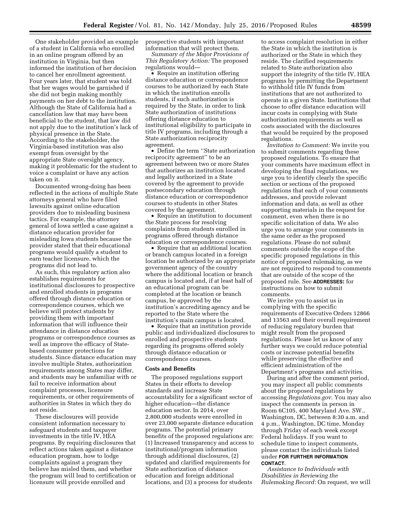One stakeholder provided an example of a student in California who enrolled in an online program offered by an institution in Virginia, but then informed the institution of her decision to cancel her enrollment agreement. Four years later, that student was told that her wages would be garnished if she did not begin making monthly payments on her debt to the institution. Although the State of California had a cancellation law that may have been beneficial to the student, that law did not apply due to the institution's lack of physical presence in the State. According to the stakeholder, the Virginia-based institution was also exempt from oversight by the appropriate State oversight agency, making it problematic for the student to voice a complaint or have any action taken on it.

Documented wrong-doing has been reflected in the actions of multiple State attorneys general who have filed lawsuits against online education providers due to misleading business tactics. For example, the attorney general of Iowa settled a case against a distance education provider for misleading Iowa students because the provider stated that their educational programs would qualify a student to earn teacher licensure, which the programs did not lead to.

As such, this regulatory action also establishes requirements for institutional disclosures to prospective and enrolled students in programs offered through distance education or correspondence courses, which we believe will protect students by providing them with important information that will influence their attendance in distance education programs or correspondence courses as well as improve the efficacy of Statebased consumer protections for students. Since distance education may involve multiple States, authorization requirements among States may differ, and students may be unfamiliar with or fail to receive information about complaint processes, licensure requirements, or other requirements of authorities in States in which they do not reside.

These disclosures will provide consistent information necessary to safeguard students and taxpayer investments in the title IV, HEA programs. By requiring disclosures that reflect actions taken against a distance education program, how to lodge complaints against a program they believe has misled them, and whether the program will lead to certification or licensure will provide enrolled and

prospective students with important information that will protect them.

*Summary of the Major Provisions of This Regulatory Action:* The proposed regulations would—

• Require an institution offering distance education or correspondence courses to be authorized by each State in which the institution enrolls students, if such authorization is required by the State, in order to link State authorization of institutions offering distance education to institutional eligibility to participate in title IV programs, including through a State authorization reciprocity agreement.

• Define the term ''State authorization reciprocity agreement'' to be an agreement between two or more States that authorizes an institution located and legally authorized in a State covered by the agreement to provide postsecondary education through distance education or correspondence courses to students in other States covered by the agreement.

• Require an institution to document the State process for resolving complaints from students enrolled in programs offered through distance education or correspondence courses.

• Require that an additional location or branch campus located in a foreign location be authorized by an appropriate government agency of the country where the additional location or branch campus is located and, if at least half of an educational program can be completed at the location or branch campus, be approved by the institution's accrediting agency and be reported to the State where the institution's main campus is located.

• Require that an institution provide public and individualized disclosures to enrolled and prospective students regarding its programs offered solely through distance education or correspondence courses.

### **Costs and Benefits**

The proposed regulations support States in their efforts to develop standards and increase State accountability for a significant sector of higher education—the distance education sector. In 2014, over 2,800,000 students were enrolled in over 23,000 separate distance education programs. The potential primary benefits of the proposed regulations are: (1) Increased transparency and access to institutional/program information through additional disclosures, (2) updated and clarified requirements for State authorization of distance education and foreign additional locations, and (3) a process for students

to access complaint resolution in either the State in which the institution is authorized or the State in which they reside. The clarified requirements related to State authorization also support the integrity of the title IV, HEA programs by permitting the Department to withhold title IV funds from institutions that are not authorized to operate in a given State. Institutions that choose to offer distance education will incur costs in complying with State authorization requirements as well as costs associated with the disclosures that would be required by the proposed regulations.

*Invitation to Comment:* We invite you to submit comments regarding these proposed regulations. To ensure that your comments have maximum effect in developing the final regulations, we urge you to identify clearly the specific section or sections of the proposed regulations that each of your comments addresses, and provide relevant information and data, as well as other supporting materials in the request for comment, even when there is no specific solicitation of data. We also urge you to arrange your comments in the same order as the proposed regulations. Please do not submit comments outside the scope of the specific proposed regulations in this notice of proposed rulemaking, as we are not required to respond to comments that are outside of the scope of the proposed rule. See **ADDRESSES:** for instructions on how to submit comments.

We invite you to assist us in complying with the specific requirements of Executive Orders 12866 and 13563 and their overall requirement of reducing regulatory burden that might result from the proposed regulations. Please let us know of any further ways we could reduce potential costs or increase potential benefits while preserving the effective and efficient administration of the Department's programs and activities.

During and after the comment period, you may inspect all public comments about the proposed regulations by accessing *Regulations.gov*. You may also inspect the comments in person in Room 6C105, 400 Maryland Ave. SW., Washington, DC, between 8:30 a.m. and 4 p.m., Washington, DC time, Monday through Friday of each week except Federal holidays. If you want to schedule time to inspect comments, please contact the individuals listed under **FOR FURTHER INFORMATION CONTACT**.

*Assistance to Individuals with Disabilities in Reviewing the Rulemaking Record:* On request, we will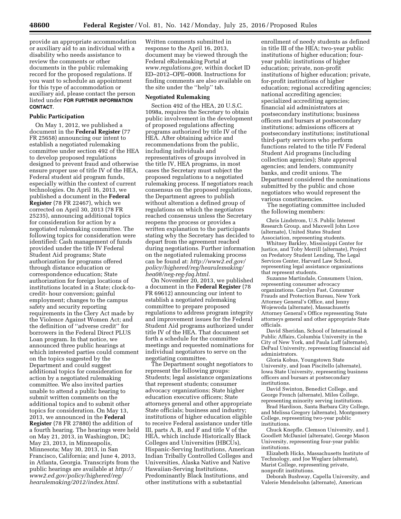provide an appropriate accommodation or auxiliary aid to an individual with a disability who needs assistance to review the comments or other documents in the public rulemaking record for the proposed regulations. If you want to schedule an appointment for this type of accommodation or auxiliary aid, please contact the person listed under **FOR FURTHER INFORMATION CONTACT**.

# **Public Participation**

On May 1, 2012, we published a document in the **Federal Register** (77 FR 25658) announcing our intent to establish a negotiated rulemaking committee under section 492 of the HEA to develop proposed regulations designed to prevent fraud and otherwise ensure proper use of title IV of the HEA, Federal student aid program funds, especially within the context of current technologies. On April 16, 2013, we published a document in the **Federal Register** (78 FR 22467), which we corrected on April 30, 2013 (78 FR 25235), announcing additional topics for consideration for action by a negotiated rulemaking committee. The following topics for consideration were identified: Cash management of funds provided under the title IV Federal Student Aid programs; State authorization for programs offered through distance education or correspondence education; State authorization for foreign locations of institutions located in a State; clock-tocredit- hour conversion; gainful employment; changes to the campus safety and security reporting requirements in the Clery Act made by the Violence Against Women Act; and the definition of ''adverse credit'' for borrowers in the Federal Direct PLUS Loan program. In that notice, we announced three public hearings at which interested parties could comment on the topics suggested by the Department and could suggest additional topics for consideration for action by a negotiated rulemaking committee. We also invited parties unable to attend a public hearing to submit written comments on the additional topics and to submit other topics for consideration. On May 13, 2013, we announced in the **Federal Register** (78 FR 27880) the addition of a fourth hearing. The hearings were held on May 21, 2013, in Washington, DC; May 23, 2013, in Minneapolis, Minnesota; May 30, 2013, in San Francisco, California; and June 4, 2013, in Atlanta, Georgia. Transcripts from the public hearings are available at *[http://](http://www2.ed.gov/policy/highered/reg/hearulemaking/2012/index.html) [www2.ed.gov/policy/highered/reg/](http://www2.ed.gov/policy/highered/reg/hearulemaking/2012/index.html) [hearulemaking/2012/index.html.](http://www2.ed.gov/policy/highered/reg/hearulemaking/2012/index.html)* 

Written comments submitted in response to the April 16, 2013, document may be viewed through the Federal eRulemaking Portal at *[www.regulations.gov,](http://www.regulations.gov)* within docket ID ED–2012–OPE–0008. Instructions for finding comments are also available on the site under the ''help'' tab.

#### **Negotiated Rulemaking**

Section 492 of the HEA, 20 U.S.C. 1098a, requires the Secretary to obtain public involvement in the development of proposed regulations affecting programs authorized by title IV of the HEA. After obtaining advice and recommendations from the public, including individuals and representatives of groups involved in the title IV, HEA programs, in most cases the Secretary must subject the proposed regulations to a negotiated rulemaking process. If negotiators reach consensus on the proposed regulations, the Department agrees to publish without alteration a defined group of regulations on which the negotiators reached consensus unless the Secretary reopens the process or provides a written explanation to the participants stating why the Secretary has decided to depart from the agreement reached during negotiations. Further information on the negotiated rulemaking process can be found at: *[http://www2.ed.gov/](http://www2.ed.gov/policy/highered/reg/hearulemaking/hea08/neg-reg-faq.html) [policy/highered/reg/hearulemaking/](http://www2.ed.gov/policy/highered/reg/hearulemaking/hea08/neg-reg-faq.html) [hea08/neg-reg-faq.html.](http://www2.ed.gov/policy/highered/reg/hearulemaking/hea08/neg-reg-faq.html)* 

On November 20, 2013, we published a document in the **Federal Register** (78 FR 69612) announcing our intent to establish a negotiated rulemaking committee to prepare proposed regulations to address program integrity and improvement issues for the Federal Student Aid programs authorized under title IV of the HEA. That document set forth a schedule for the committee meetings and requested nominations for individual negotiators to serve on the negotiating committee.

The Department sought negotiators to represent the following groups: Students; legal assistance organizations that represent students; consumer advocacy organizations; State higher education executive officers; State attorneys general and other appropriate State officials; business and industry; institutions of higher education eligible to receive Federal assistance under title III, parts A, B, and F and title V of the HEA, which include Historically Black Colleges and Universities (HBCUs), Hispanic-Serving Institutions, American Indian Tribally Controlled Colleges and Universities, Alaska Native and Native Hawaiian-Serving Institutions, Predominantly Black Institutions, and other institutions with a substantial

enrollment of needy students as defined in title III of the HEA; two-year public institutions of higher education; fouryear public institutions of higher education; private, non-profit institutions of higher education; private, for-profit institutions of higher education; regional accrediting agencies; national accrediting agencies; specialized accrediting agencies; financial aid administrators at postsecondary institutions; business officers and bursars at postsecondary institutions; admissions officers at postsecondary institutions; institutional third-party servicers who perform functions related to the title IV Federal Student Aid programs (including collection agencies); State approval agencies; and lenders, community banks, and credit unions. The Department considered the nominations submitted by the public and chose negotiators who would represent the various constituencies.

The negotiating committee included the following members:

Chris Lindstrom, U.S. Public Interest Research Group, and Maxwell John Love (alternate), United States Student Association, representing students.

Whitney Barkley, Mississippi Center for Justice, and Toby Merrill (alternate), Project on Predatory Student Lending, The Legal Services Center, Harvard Law School, representing legal assistance organizations that represent students.

Suzanne Martindale, Consumers Union, representing consumer advocacy organizations. Carolyn Fast, Consumer Frauds and Protection Bureau, New York Attorney General's Office, and Jenny Wojewoda (alternate), Massachusetts Attorney General's Office representing State attorneys general and other appropriate State officials.

David Sheridan, School of International & Public Affairs, Columbia University in the City of New York, and Paula Luff (alternate), DePaul University, representing financial aid administrators.

Gloria Kobus, Youngstown State University, and Joan Piscitello (alternate), Iowa State University, representing business officers and bursars at postsecondary institutions.

David Swinton, Benedict College, and George French (alternate), Miles College, representing minority serving institutions.

Brad Hardison, Santa Barbara City College, and Melissa Gregory (alternate), Montgomery College, representing two-year public institutions.

Chuck Knepfle, Clemson University, and J. Goodlett McDaniel (alternate), George Mason University, representing four-year public institutions.

Elizabeth Hicks, Massachusetts Institute of Technology, and Joe Weglarz (alternate), Marist College, representing private, nonprofit institutions.

Deborah Bushway, Capella University, and Valerie Mendelsohn (alternate), American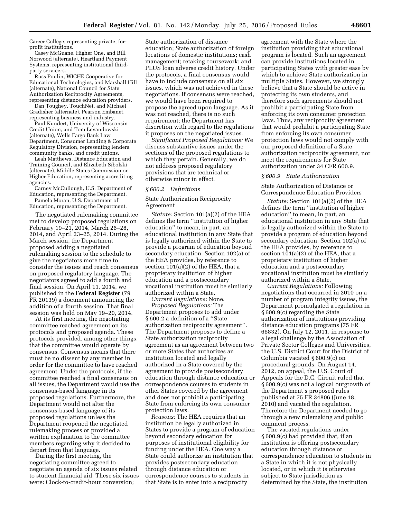Career College, representing private, forprofit institutions.

Casey McGuane, Higher One, and Bill Norwood (alternate), Heartland Payment Systems, representing institutional thirdparty servicers.

Russ Poulin, WICHE Cooperative for Educational Technologies, and Marshall Hill (alternate), National Council for State Authorization Reciprocity Agreements, representing distance education providers.

Dan Toughey, TouchNet, and Michael Gradisher (alternate), Pearson Embanet, representing business and industry.

Paul Kundert, University of Wisconsin Credit Union, and Tom Levandowski (alternate), Wells Fargo Bank Law Department, Consumer Lending & Corporate Regulatory Division, representing lenders, community banks, and credit unions.

Leah Matthews, Distance Education and Training Council, and Elizabeth Sibolski (alternate), Middle States Commission on Higher Education, representing accrediting agencies.

Carney McCullough, U.S. Department of Education, representing the Department.

Pamela Moran, U.S. Department of Education, representing the Department.

The negotiated rulemaking committee met to develop proposed regulations on February 19–21, 2014, March 26–28, 2014, and April 23–25, 2014. During the March session, the Department proposed adding a negotiated rulemaking session to the schedule to give the negotiators more time to consider the issues and reach consensus on proposed regulatory language. The negotiators agreed to add a fourth and final session. On April 11, 2014, we published in the **Federal Register** (79 FR 20139) a document announcing the addition of a fourth session. That final session was held on May 19–20, 2014.

At its first meeting, the negotiating committee reached agreement on its protocols and proposed agenda. These protocols provided, among other things, that the committee would operate by consensus. Consensus means that there must be no dissent by any member in order for the committee to have reached agreement. Under the protocols, if the committee reached a final consensus on all issues, the Department would use the consensus-based language in its proposed regulations. Furthermore, the Department would not alter the consensus-based language of its proposed regulations unless the Department reopened the negotiated rulemaking process or provided a written explanation to the committee members regarding why it decided to depart from that language.

During the first meeting, the negotiating committee agreed to negotiate an agenda of six issues related to student financial aid. These six issues were: Clock-to-credit-hour conversion;

State authorization of distance education; State authorization of foreign locations of domestic institutions; cash management; retaking coursework; and PLUS loan adverse credit history. Under the protocols, a final consensus would have to include consensus on all six issues, which was not achieved in these negotiations. If consensus were reached, we would have been required to propose the agreed upon language. As it was not reached, there is no such requirement; the Department has discretion with regard to the regulations it proposes on the negotiated issues.

*Significant Proposed Regulations:* We discuss substantive issues under the sections of the proposed regulations to which they pertain. Generally, we do not address proposed regulatory provisions that are technical or otherwise minor in effect.

#### *§ 600.2 Definitions*

State Authorization Reciprocity Agreement

*Statute:* Section 101(a)(2) of the HEA defines the term ''institution of higher education'' to mean, in part, an educational institution in any State that is legally authorized within the State to provide a program of education beyond secondary education. Section 102(a) of the HEA provides, by reference to section 101(a)(2) of the HEA, that a proprietary institution of higher education and a postsecondary vocational institution must be similarly authorized within a State.

*Current Regulations:* None. *Proposed Regulations:* The Department proposes to add under § 600.2 a definition of a ''State authorization reciprocity agreement''. The Department proposes to define a State authorization reciprocity agreement as an agreement between two or more States that authorizes an institution located and legally authorized in a State covered by the agreement to provide postsecondary education through distance education or correspondence courses to students in other States covered by the agreement and does not prohibit a participating State from enforcing its own consumer protection laws.

*Reasons:* The HEA requires that an institution be legally authorized in States to provide a program of education beyond secondary education for purposes of institutional eligibility for funding under the HEA. One way a State could authorize an institution that provides postsecondary education through distance education or correspondence courses to students in that State is to enter into a reciprocity

agreement with the State where the institution providing that educational program is located. Such an agreement can provide institutions located in participating States with greater ease by which to achieve State authorization in multiple States. However, we strongly believe that a State should be active in protecting its own students, and therefore such agreements should not prohibit a participating State from enforcing its own consumer protection laws. Thus, any reciprocity agreement that would prohibit a participating State from enforcing its own consumer protection laws would not comply with our proposed definition of a State authorization reciprocity agreement, nor meet the requirements for State authorization under 34 CFR 600.9.

#### *§ 600.9 State Authorization*

State Authorization of Distance or Correspondence Education Providers

*Statute:* Section 101(a)(2) of the HEA defines the term ''institution of higher education'' to mean, in part, an educational institution in any State that is legally authorized within the State to provide a program of education beyond secondary education. Section 102(a) of the HEA provides, by reference to section 101(a)(2) of the HEA, that a proprietary institution of higher education and a postsecondary vocational institution must be similarly authorized within a State.

*Current Regulations:* Following negotiations that occurred in 2010 on a number of program integrity issues, the Department promulgated a regulation in § 600.9(c) regarding the State authorization of institutions providing distance education programs (75 FR 66832). On July 12, 2011, in response to a legal challenge by the Association of Private Sector Colleges and Universities, the U.S. District Court for the District of Columbia vacated § 600.9(c) on procedural grounds. On August 14, 2012, on appeal, the U.S. Court of Appeals for the D.C. Circuit ruled that § 600.9(c) was not a logical outgrowth of the Department's proposed rules published at 75 FR 34806 (June 18, 2010) and vacated the regulation. Therefore the Department needed to go through a new rulemaking and public comment process.

The vacated regulations under § 600.9(c) had provided that, if an institution is offering postsecondary education through distance or correspondence education to students in a State in which it is not physically located, or in which it is otherwise subject to State jurisdiction as determined by the State, the institution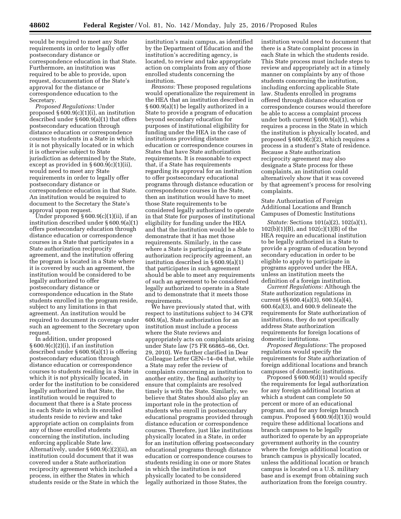would be required to meet any State requirements in order to legally offer postsecondary distance or correspondence education in that State. Furthermore, an institution was required to be able to provide, upon request, documentation of the State's approval for the distance or correspondence education to the Secretary.

*Proposed Regulations:* Under proposed § 600.9(c)(1)(i), an institution described under § 600.9(a)(1) that offers postsecondary education through distance education or correspondence courses to students in a State in which it is not physically located or in which it is otherwise subject to State jurisdiction as determined by the State, except as provided in  $\S 600.9(c)(1)(ii)$ , would need to meet any State requirements in order to legally offer postsecondary distance or correspondence education in that State. An institution would be required to document to the Secretary the State's approval upon request.

Under proposed § 600.9(c)(1)(ii), if an institution described under § 600.9(a)(1) offers postsecondary education through distance education or correspondence courses in a State that participates in a State authorization reciprocity agreement, and the institution offering the program is located in a State where it is covered by such an agreement, the institution would be considered to be legally authorized to offer postsecondary distance or correspondence education in the State students enrolled in the program reside, subject to any limitations in that agreement. An institution would be required to document its coverage under such an agreement to the Secretary upon request.

In addition, under proposed  $§ 600.9(c)(2)(i)$ , if an institution described under § 600.9(a)(1) is offering postsecondary education through distance education or correspondence courses to students residing in a State in which it is not physically located, in order for the institution to be considered legally authorized in that State, the institution would be required to document that there is a State process in each State in which its enrolled students reside to review and take appropriate action on complaints from any of those enrolled students concerning the institution, including enforcing applicable State law. Alternatively, under § 600.9(c)(2)(ii), an institution could document that it was covered under a State authorization reciprocity agreement which included a process, in either the States in which students reside or the State in which the

institution's main campus, as identified by the Department of Education and the institution's accrediting agency, is located, to review and take appropriate action on complaints from any of those enrolled students concerning the institution.

*Reasons:* These proposed regulations would operationalize the requirement in the HEA that an institution described in § 600.9(a)(1) be legally authorized in a State to provide a program of education beyond secondary education for purposes of institutional eligibility for funding under the HEA in the case of institutions providing distance education or correspondence courses in States that have State authorization requirements. It is reasonable to expect that, if a State has requirements regarding its approval for an institution to offer postsecondary educational programs through distance education or correspondence courses in the State, then an institution would have to meet those State requirements to be considered legally authorized to operate in that State for purposes of institutional eligibility for funding under the HEA and that the institution would be able to demonstrate that it has met those requirements. Similarly, in the case where a State is participating in a State authorization reciprocity agreement, an institution described in § 600.9(a)(1) that participates in such agreement should be able to meet any requirements of such an agreement to be considered legally authorized to operate in a State and to demonstrate that it meets those requirements.

We have previously stated that, with respect to institutions subject to 34 CFR 600.9(a), State authorization for an institution must include a process where the State reviews and appropriately acts on complaints arising under State law (75 FR 66865–66, Oct. 29, 2010). We further clarified in Dear Colleague Letter GEN–14–04 that, while a State may refer the review of complaints concerning an institution to another entity, the final authority to ensure that complaints are resolved timely is with the State. Similarly, we believe that States should also play an important role in the protection of students who enroll in postsecondary educational programs provided through distance education or correspondence courses. Therefore, just like institutions physically located in a State, in order for an institution offering postsecondary educational programs through distance education or correspondence courses to students residing in one or more States in which the institution is not physically located to be considered legally authorized in those States, the

institution would need to document that there is a State complaint process in each State in which the students reside. This State process must include steps to review and appropriately act in a timely manner on complaints by any of those students concerning the institution, including enforcing applicable State law. Students enrolled in programs offered through distance education or correspondence courses would therefore be able to access a complaint process under both current  $\S 600.9(a)(1)$ , which requires a process in the State in which the institution is physically located, and proposed § 600.9(c)(2), which requires a process in a student's State of residence. Because a State authorization reciprocity agreement may also designate a State process for these complaints, an institution could alternatively show that it was covered by that agreement's process for resolving complaints.

State Authorization of Foreign Additional Locations and Branch Campuses of Domestic Institutions

*Statute:* Sections 101(a)(2), 102(a)(1), 102(b)(1)(B), and 102(c)(1)(B) of the HEA require an educational institution to be legally authorized in a State to provide a program of education beyond secondary education in order to be eligible to apply to participate in programs approved under the HEA, unless an institution meets the definition of a foreign institution.

*Current Regulations:* Although the State authorization regulations in current §§ 600.4(a)(3), 600.5(a)(4), 600.6(a)(3), and 600.9 delineate the requirements for State authorization of institutions, they do not specifically address State authorization requirements for foreign locations of domestic institutions.

*Proposed Regulations:* The proposed regulations would specify the requirements for State authorization of foreign additional locations and branch campuses of domestic institutions.

Proposed § 600.9(d)(1) would specify the requirements for legal authorization for any foreign additional location at which a student can complete 50 percent or more of an educational program, and for any foreign branch campus. Proposed § 600.9(d)(1)(i) would require these additional locations and branch campuses to be legally authorized to operate by an appropriate government authority in the country where the foreign additional location or branch campus is physically located, unless the additional location or branch campus is located on a U.S. military base and is exempt from obtaining such authorization from the foreign country.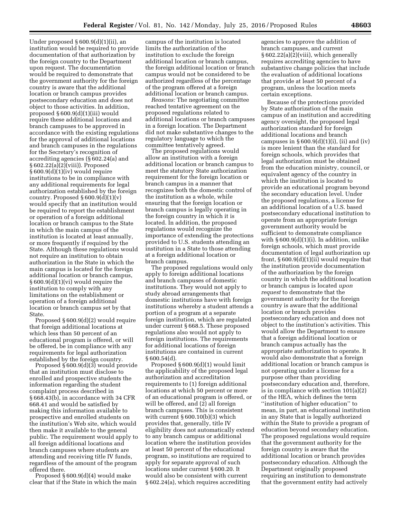Under proposed § 600.9(d)(1)(ii), an institution would be required to provide documentation of that authorization by the foreign country to the Department upon request. The documentation would be required to demonstrate that the government authority for the foreign country is aware that the additional location or branch campus provides postsecondary education and does not object to those activities. In addition, proposed § 600.9(d)(1)(iii) would require these additional locations and branch campuses to be approved in accordance with the existing regulations for the approval of additional locations and branch campuses in the regulations for the Secretary's recognition of accrediting agencies (§ 602.24(a) and § 602.22(a)(2)(viii)). Proposed § 600.9(d)(1)(iv) would require institutions to be in compliance with any additional requirements for legal authorization established by the foreign country. Proposed  $\S 600.9(d)(1)(v)$ would specify that an institution would be required to report the establishment or operation of a foreign additional location or branch campus to the State in which the main campus of the institution is located at least annually, or more frequently if required by the State. Although these regulations would not require an institution to obtain authorization in the State in which the main campus is located for the foreign additional location or branch campus, § 600.9(d)(1)(vi) would require the institution to comply with any limitations on the establishment or operation of a foreign additional location or branch campus set by that State.

Proposed § 600.9(d)(2) would require that foreign additional locations at which less than 50 percent of an educational program is offered, or will be offered, be in compliance with any requirements for legal authorization established by the foreign country.

Proposed § 600.9(d)(3) would provide that an institution must disclose to enrolled and prospective students the information regarding the student complaint process described in § 668.43(b), in accordance with 34 CFR 668.41 and would be satisfied by making this information available to prospective and enrolled students on the institution's Web site, which would then make it available to the general public. The requirement would apply to all foreign additional locations and branch campuses where students are attending and receiving title IV funds, regardless of the amount of the program offered there.

Proposed § 600.9(d)(4) would make clear that if the State in which the main

campus of the institution is located limits the authorization of the institution to exclude the foreign additional location or branch campus, the foreign additional location or branch campus would not be considered to be authorized regardless of the percentage of the program offered at a foreign additional location or branch campus.

*Reasons:* The negotiating committee reached tentative agreement on the proposed regulations related to additional locations or branch campuses in a foreign location. The Department did not make substantive changes to the regulatory language to which the committee tentatively agreed.

The proposed regulations would allow an institution with a foreign additional location or branch campus to meet the statutory State authorization requirement for the foreign location or branch campus in a manner that recognizes both the domestic control of the institution as a whole, while ensuring that the foreign location or branch campus is legally operating in the foreign country in which it is located. In addition, the proposed regulations would recognize the importance of extending the protections provided to U.S. students attending an institution in a State to those attending at a foreign additional location or branch campus.

The proposed regulations would only apply to foreign additional locations and branch campuses of domestic institutions. They would not apply to study abroad arrangements that domestic institutions have with foreign institutions whereby a student attends a portion of a program at a separate foreign institution, which are regulated under current § 668.5. These proposed regulations also would not apply to foreign institutions. The requirements for additional locations of foreign institutions are contained in current § 600.54(d).

Proposed § 600.9(d)(1) would limit the applicability of the proposed legal authorization and accreditation requirements to (1) foreign additional locations at which 50 percent or more of an educational program is offered, or will be offered, and (2) all foreign branch campuses. This is consistent with current § 600.10(b)(3) which provides that, generally, title IV eligibility does not automatically extend to any branch campus or additional location where the institution provides at least 50 percent of the educational program, so institutions are required to apply for separate approval of such locations under current § 600.20. It would also be consistent with current § 602.24(a), which requires accrediting

agencies to approve the addition of branch campuses, and current § 602.22(a)(2)(viii), which generally requires accrediting agencies to have substantive change policies that include the evaluation of additional locations that provide at least 50 percent of a program, unless the location meets certain exceptions.

Because of the protections provided by State authorization of the main campus of an institution and accrediting agency oversight, the proposed legal authorization standard for foreign additional locations and branch campuses in  $\S 600.9(d)(1)(i)$ , (ii) and (iv) is more lenient than the standard for foreign schools, which provides that legal authorization must be obtained from the education ministry, council, or equivalent agency of the country in which the institution is located to provide an educational program beyond the secondary education level. Under the proposed regulations, a license for an additional location of a U.S. based postsecondary educational institution to operate from an appropriate foreign government authority would be sufficient to demonstrate compliance with § 600.9(d)(1)(i). In addition, unlike foreign schools, which must provide documentation of legal authorization up front, § 600.9(d)(1)(ii) would require that the institution provide documentation of the authorization by the foreign country in which the additional location or branch campus is located *upon request* to demonstrate that the government authority for the foreign country is aware that the additional location or branch provides postsecondary education and does not object to the institution's activities. This would allow the Department to ensure that a foreign additional location or branch campus actually has the appropriate authorization to operate. It would also demonstrate that a foreign additional location or branch campus is not operating under a license for a purpose other than providing postsecondary education and, therefore, is in compliance with section 101(a)(2) of the HEA, which defines the term ''institution of higher education'' to mean, in part, an educational institution in any State that is legally authorized within the State to provide a program of education beyond secondary education. The proposed regulations would require that the government authority for the foreign country is aware that the additional location or branch provides postsecondary education. Although the Department originally proposed requiring an institution to demonstrate that the government entity had actively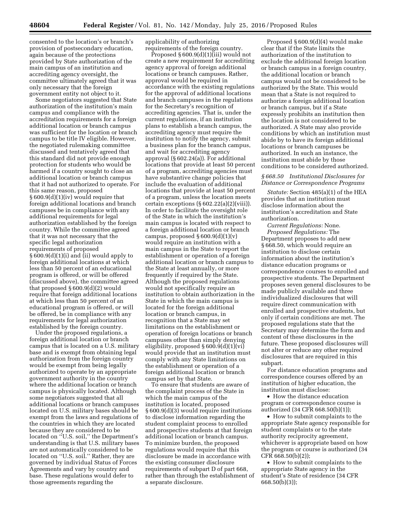consented to the location's or branch's provision of postsecondary education, again because of the protections provided by State authorization of the main campus of an institution and accrediting agency oversight, the committee ultimately agreed that it was only necessary that the foreign government entity not object to it.

Some negotiators suggested that State authorization of the institution's main campus and compliance with the accreditation requirements for a foreign additional location or branch campus was sufficient for the location or branch campus to be title IV eligible. However, the negotiated rulemaking committee discussed and tentatively agreed that this standard did not provide enough protection for students who would be harmed if a country sought to close an additional location or branch campus that it had not authorized to operate. For this same reason, proposed § 600.9(d)(1)(iv) would require that foreign additional locations and branch campuses be in compliance with any additional requirements for legal authorization established by the foreign country. While the committee agreed that it was not necessary that the specific legal authorization requirements of proposed § 600.9(d)(1)(i) and (ii) would apply to foreign additional locations at which less than 50 percent of an educational program is offered, or will be offered (discussed above), the committee agreed that proposed § 600.9(d)(2) would require that foreign additional locations at which less than 50 percent of an educational program is offered, or will be offered, be in compliance with any requirements for legal authorization established by the foreign country.

Under the proposed regulations, a foreign additional location or branch campus that is located on a U.S. military base and is exempt from obtaining legal authorization from the foreign country would be exempt from being legally authorized to operate by an appropriate government authority in the country where the additional location or branch campus is physically located. Although some negotiators suggested that all additional locations or branch campuses located on U.S. military bases should be exempt from the laws and regulations of the countries in which they are located because they are considered to be located on ''U.S. soil,'' the Department's understanding is that U.S. military bases are not automatically considered to be located on ''U.S. soil.'' Rather, they are governed by individual Status of Forces Agreements and vary by country and base. These regulations would defer to those agreements regarding the

applicability of authorizing requirements of the foreign country.

Proposed § 600.9(d)(1)(iii) would not create a new requirement for accrediting agency approval of foreign additional locations or branch campuses. Rather, approval would be required in accordance with the existing regulations for the approval of additional locations and branch campuses in the regulations for the Secretary's recognition of accrediting agencies. That is, under the current regulations, if an institution plans to establish a branch campus, the accrediting agency must require the institution to notify the agency, submit a business plan for the branch campus, and wait for accrediting agency approval (§ 602.24(a)). For additional locations that provide at least 50 percent of a program, accrediting agencies must have substantive change policies that include the evaluation of additional locations that provide at least 50 percent of a program, unless the location meets certain exceptions  $(\S 602.22(a)(2)(viii))$ . In order to facilitate the oversight role of the State in which the institution's main campus is located with respect to a foreign additional location or branch campus, proposed  $\S 600.9(d)(1)(v)$ would require an institution with a main campus in the State to report the establishment or operation of a foreign additional location or branch campus to the State at least annually, or more frequently if required by the State. Although the proposed regulations would not specifically require an institution to obtain authorization in the State in which the main campus is located for the foreign additional location or branch campus, in recognition that a State may set limitations on the establishment or operation of foreign locations or branch campuses other than simply denying eligibility, proposed § 600.9(d)(1)(vi) would provide that an institution must comply with any State limitations on the establishment or operation of a foreign additional location or branch campus set by that State.

To ensure that students are aware of the complaint process of the State in which the main campus of the institution is located, proposed § 600.9(d)(3) would require institutions to disclose information regarding the student complaint process to enrolled and prospective students at that foreign additional location or branch campus. To minimize burden, the proposed regulations would require that this disclosure be made in accordance with the existing consumer disclosure requirements of subpart D of part 668, rather than through the establishment of a separate disclosure.

Proposed § 600.9(d)(4) would make clear that if the State limits the authorization of the institution to exclude the additional foreign location or branch campus in a foreign country, the additional location or branch campus would not be considered to be authorized by the State. This would mean that a State is not required to authorize a foreign additional location or branch campus, but if a State expressly prohibits an institution then the location is not considered to be authorized. A State may also provide conditions by which an institution must abide by to have its foreign additional locations or branch campuses be authorized. In such an instance, the institution must abide by those conditions to be considered authorized.

# *§ 668.50 Institutional Disclosures for Distance or Correspondence Programs*

*Statute:* Section 485(a)(1) of the HEA provides that an institution must disclose information about the institution's accreditation and State authorization.

*Current Regulations:* None. *Proposed Regulations:* The Department proposes to add new § 668.50, which would require an institution to disclose certain information about the institution's distance education programs or correspondence courses to enrolled and prospective students. The Department proposes seven general disclosures to be made publicly available and three individualized disclosures that will require direct communication with enrolled and prospective students, but only if certain conditions are met. The proposed regulations state that the Secretary may determine the form and content of these disclosures in the future. These proposed disclosures will not alter or reduce any other required disclosures that are required in this subpart.

For distance education programs and correspondence courses offered by an institution of higher education, the institution must disclose:

• How the distance education program or correspondence course is authorized (34 CFR 668.50(b)(1));

• How to submit complaints to the appropriate State agency responsible for student complaints or to the state authority reciprocity agreement, whichever is appropriate based on how the program or course is authorized (34 CFR 668.50(b)(2));

• How to submit complaints to the appropriate State agency in the student's State of residence (34 CFR 668.50(b)(3));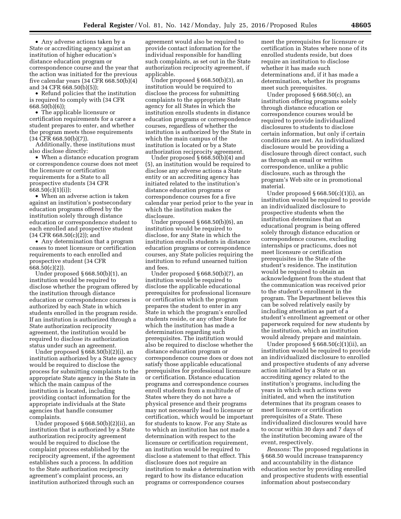• Any adverse actions taken by a State or accrediting agency against an institution of higher education's distance education program or correspondence course and the year that the action was initiated for the previous five calendar years (34 CFR 668.50(b)(4) and 34 CFR 668.50(b)(5));

• Refund policies that the institution is required to comply with (34 CFR 668.50(b)(6));

• The applicable licensure or certification requirements for a career a student prepares to enter, and whether the program meets those requirements (34 CFR 668.50(b)(7)).

Additionally, these institutions must also disclose directly:

• When a distance education program or correspondence course does not meet the licensure or certification requirements for a State to all prospective students (34 CFR  $668.50(c)(1)(i);$ 

• When an adverse action is taken against an institution's postsecondary education programs offered by the institution solely through distance education or correspondence student to each enrolled and prospective student  $(34 \text{ CFR } 668.50(c)(2))$ ; and

• Any determination that a program ceases to meet licensure or certification requirements to each enrolled and prospective student (34 CFR 668.50(c)(2)).

Under proposed § 668.50(b)(1), an institution would be required to disclose whether the program offered by the institution through distance education or correspondence courses is authorized by each State in which students enrolled in the program reside. If an institution is authorized through a State authorization reciprocity agreement, the institution would be required to disclose its authorization status under such an agreement.

Under proposed  $\S 668.50(b)(2)(i)$ , an institution authorized by a State agency would be required to disclose the process for submitting complaints to the appropriate State agency in the State in which the main campus of the institution is located, including providing contact information for the appropriate individuals at the State agencies that handle consumer complaints.

Under proposed § 668.50(b)(2)(ii), an institution that is authorized by a State authorization reciprocity agreement would be required to disclose the complaint process established by the reciprocity agreement, if the agreement establishes such a process. In addition to the State authorization reciprocity agreement's complaint process, an institution authorized through such an

agreement would also be required to provide contact information for the individual responsible for handling such complaints, as set out in the State authorization reciprocity agreement, if applicable.

Under proposed § 668.50(b)(3), an institution would be required to disclose the process for submitting complaints to the appropriate State agency for all States in which the institution enrolls students in distance education programs or correspondence courses, regardless of whether the institution is authorized by the State in which the main campus of the institution is located or by a State authorization reciprocity agreement.

Under proposed § 668.50(b)(4) and (5), an institution would be required to disclose any adverse actions a State entity or an accrediting agency has initiated related to the institution's distance education programs or correspondence courses for a five calendar year period prior to the year in which the institution makes the disclosure.

Under proposed § 668.50(b)(6), an institution would be required to disclose, for any State in which the institution enrolls students in distance education programs or correspondence courses, any State policies requiring the institution to refund unearned tuition and fees.

Under proposed § 668.50(b)(7), an institution would be required to disclose the applicable educational prerequisites for professional licensure or certification which the program prepares the student to enter in any State in which the program's enrolled students reside, or any other State for which the institution has made a determination regarding such prerequisites. The institution would also be required to disclose whether the distance education program or correspondence course does or does not satisfy those applicable educational prerequisites for professional licensure or certification. Distance education programs and correspondence courses enroll students from a multitude of States where they do not have a physical presence and their programs may not necessarily lead to licensure or certification, which would be important for students to know. For any State as to which an institution has not made a determination with respect to the licensure or certification requirement, an institution would be required to disclose a statement to that effect. This disclosure does not require an institution to make a determination with regard to how its distance education programs or correspondence courses

meet the prerequisites for licensure or certification in States where none of its enrolled students reside, but does require an institution to disclose whether it has made such determinations and, if it has made a determination, whether its programs meet such prerequisites.

Under proposed § 668.50(c), an institution offering programs solely through distance education or correspondence courses would be required to provide individualized disclosures to students to disclose certain information, but only if certain conditions are met. An individualized disclosure would be providing a disclosure through direct contact, such as through an email or written correspondence, unlike a public disclosure, such as through the program's Web site or in promotional material.

Under proposed  $§ 668.50(c)(1)(i)$ , an institution would be required to provide an individualized disclosure to prospective students when the institution determines that an educational program is being offered solely through distance education or correspondence courses, excluding internships or practicums, does not meet licensure or certification prerequisites in the State of the student's residence. The institution would be required to obtain an acknowledgment from the student that the communication was received prior to the student's enrollment in the program. The Department believes this can be solved relatively easily by including attestation as part of a student's enrollment agreement or other paperwork required for new students by the institution, which an institution would already prepare and maintain.

Under proposed  $§ 668.50(c)(1)(ii)$ , an institution would be required to provide an individualized disclosure to enrolled and prospective students of any adverse action initiated by a State or an accrediting agency related to the institution's programs, including the years in which such actions were initiated, and when the institution determines that its program ceases to meet licensure or certification prerequisites of a State. These individualized disclosures would have to occur within 30 days and 7 days of the institution becoming aware of the event, respectively.

*Reasons:* The proposed regulations in § 668.50 would increase transparency and accountability in the distance education sector by providing enrolled and prospective students with essential information about postsecondary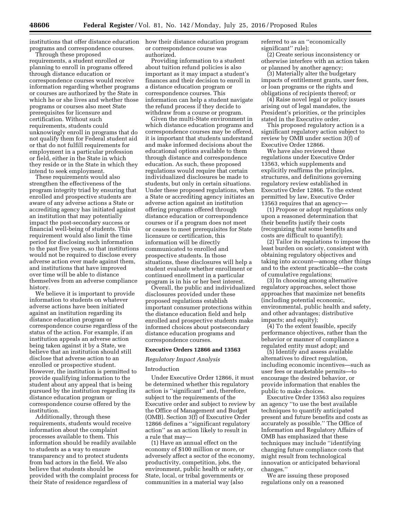institutions that offer distance education how their distance education program programs and correspondence courses.

Through these proposed requirements, a student enrolled or planning to enroll in programs offered through distance education or correspondence courses would receive information regarding whether programs or courses are authorized by the State in which he or she lives and whether those programs or courses also meet State prerequisites for licensure and certification. Without such requirements, students could unknowingly enroll in programs that do not qualify them for Federal student aid or that do not fulfill requirements for employment in a particular profession or field, either in the State in which they reside or in the State in which they intend to seek employment.

These requirements would also strengthen the effectiveness of the program integrity triad by ensuring that enrolled and prospective students are aware of any adverse actions a State or accrediting agency has initiated against an institution that may potentially impact the post-secondary success or financial well-being of students. This requirement would also limit the time period for disclosing such information to the past five years, so that institutions would not be required to disclose every adverse action ever made against them, and institutions that have improved over time will be able to distance themselves from an adverse compliance history.

We believe it is important to provide information to students on whatever adverse actions have been initiated against an institution regarding its distance education program or correspondence course regardless of the status of the action. For example, if an institution appeals an adverse action being taken against it by a State, we believe that an institution should still disclose that adverse action to an enrolled or prospective student. However, the institution is permitted to provide qualifying information to the student about any appeal that is being pursued by the institution regarding its distance education program or correspondence course offered by the institution.

Additionally, through these requirements, students would receive information about the complaint processes available to them. This information should be readily available to students as a way to ensure transparency and to protect students from bad actors in the field. We also believe that students should be provided with the complaint process for their State of residence regardless of

or correspondence course was authorized.

Providing information to a student about tuition refund policies is also important as it may impact a student's finances and their decision to enroll in a distance education program or correspondence courses. This information can help a student navigate the refund process if they decide to withdraw from a course or program.

Given the multi-State environment in which distance education programs and correspondence courses may be offered, it is important that students understand and make informed decisions about the educational options available to them through distance and correspondence education. As such, these proposed regulations would require that certain individualized disclosures be made to students, but only in certain situations. Under these proposed regulations, when a State or accrediting agency initiates an adverse action against an institution offering programs offered through distance education or correspondence courses or if a program does not meet or ceases to meet prerequisites for State licensure or certification, this information will be directly communicated to enrolled and prospective students. In those situations, these disclosures will help a student evaluate whether enrollment or continued enrollment in a particular program is in his or her best interest.

Overall, the public and individualized disclosures provided under these proposed regulations establish important consumer protections within the distance education field and help enrolled and prospective students make informed choices about postsecondary distance education programs and correspondence courses.

# **Executive Orders 12866 and 13563**

*Regulatory Impact Analysis* 

#### Introduction

Under Executive Order 12866, it must be determined whether this regulatory action is ''significant'' and, therefore, subject to the requirements of the Executive order and subject to review by the Office of Management and Budget (OMB). Section 3(f) of Executive Order 12866 defines a ''significant regulatory action'' as an action likely to result in a rule that may—

(1) Have an annual effect on the economy of \$100 million or more, or adversely affect a sector of the economy, productivity, competition, jobs, the environment, public health or safety, or State, local, or tribal governments or communities in a material way (also

referred to as an ''economically significant'' rule);

(2) Create serious inconsistency or otherwise interfere with an action taken or planned by another agency;

(3) Materially alter the budgetary impacts of entitlement grants, user fees, or loan programs or the rights and obligations of recipients thereof; or

(4) Raise novel legal or policy issues arising out of legal mandates, the President's priorities, or the principles stated in the Executive order.

This proposed regulatory action is a significant regulatory action subject to review by OMB under section 3(f) of Executive Order 12866.

We have also reviewed these regulations under Executive Order 13563, which supplements and explicitly reaffirms the principles, structures, and definitions governing regulatory review established in Executive Order 12866. To the extent permitted by law, Executive Order 13563 requires that an agency—

(1) Propose or adopt regulations only upon a reasoned determination that their benefits justify their costs (recognizing that some benefits and costs are difficult to quantify);

(2) Tailor its regulations to impose the least burden on society, consistent with obtaining regulatory objectives and taking into account—among other things and to the extent practicable—the costs of cumulative regulations;

(3) In choosing among alternative regulatory approaches, select those approaches that maximize net benefits (including potential economic, environmental, public health and safety, and other advantages; distributive impacts; and equity);

(4) To the extent feasible, specify performance objectives, rather than the behavior or manner of compliance a regulated entity must adopt; and

(5) Identify and assess available alternatives to direct regulation, including economic incentives—such as user fees or marketable permits—to encourage the desired behavior, or provide information that enables the public to make choices.

Executive Order 13563 also requires an agency ''to use the best available techniques to quantify anticipated present and future benefits and costs as accurately as possible.'' The Office of Information and Regulatory Affairs of OMB has emphasized that these techniques may include ''identifying changing future compliance costs that might result from technological innovation or anticipated behavioral changes.''

We are issuing these proposed regulations only on a reasoned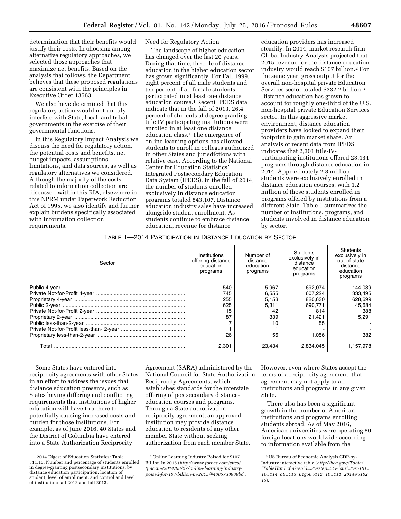determination that their benefits would justify their costs. In choosing among alternative regulatory approaches, we selected those approaches that maximize net benefits. Based on the analysis that follows, the Department believes that these proposed regulations are consistent with the principles in Executive Order 13563.

We also have determined that this regulatory action would not unduly interfere with State, local, and tribal governments in the exercise of their governmental functions.

In this Regulatory Impact Analysis we discuss the need for regulatory action, the potential costs and benefits, net budget impacts, assumptions, limitations, and data sources, as well as regulatory alternatives we considered. Although the majority of the costs related to information collection are discussed within this RIA, elsewhere in this NPRM under Paperwork Reduction Act of 1995, we also identify and further explain burdens specifically associated with information collection requirements.

# Need for Regulatory Action

The landscape of higher education has changed over the last 20 years. During that time, the role of distance education in the higher education sector has grown significantly. For Fall 1999, eight percent of all male students and ten percent of all female students participated in at least one distance education course.1 Recent IPEDS data indicate that in the fall of 2013, 26.4 percent of students at degree-granting, title IV participating institutions were enrolled in at least one distance education class.1 The emergence of online learning options has allowed students to enroll in colleges authorized in other States and jurisdictions with relative ease. According to the National Center for Education Statistics' Integrated Postsecondary Education Data System (IPEDS), in the fall of 2014, the number of students enrolled exclusively in distance education programs totaled 843,107. Distance education industry sales have increased alongside student enrollment. As students continue to embrace distance education, revenue for distance

education providers has increased steadily. In 2014, market research firm Global Industry Analysts projected that 2015 revenue for the distance education industry would reach \$107 billion.2 For the same year, gross output for the overall non-hospital private Education Services sector totaled \$332.2 billion.3 Distance education has grown to account for roughly one-third of the U.S. non-hospital private Education Services sector. In this aggressive market environment, distance education providers have looked to expand their footprint to gain market share. An analysis of recent data from IPEDS indicates that 2,301 title-IVparticipating institutions offered 23,434 programs through distance education in 2014. Approximately 2.8 million students were exclusively enrolled in distance education courses, with 1.2 million of those students enrolled in programs offered by institutions from a different State. Table 1 summarizes the number of institutions, programs, and students involved in distance education by sector.

# TABLE 1—2014 PARTICIPATION IN DISTANCE EDUCATION BY SECTOR

| Sector | Institutions<br>offering distance<br>education<br>programs | Number of<br>distance<br>education<br>programs | Students<br>exclusively in<br>distance<br>education<br>programs | Students<br>exclusively in<br>out-of-state<br>distance<br>education<br>programs |
|--------|------------------------------------------------------------|------------------------------------------------|-----------------------------------------------------------------|---------------------------------------------------------------------------------|
|        | 540                                                        | 5.967                                          | 692.074                                                         | 144.039                                                                         |
|        | 745                                                        | 6.555                                          | 607.224                                                         | 333.495                                                                         |
|        | 255                                                        | 5.153                                          | 820.630                                                         | 628.699                                                                         |
|        | 625                                                        | 5.311                                          | 690.771                                                         | 45.684                                                                          |
|        | 15                                                         | 42                                             | 814                                                             | 388                                                                             |
|        | 87                                                         | 339                                            | 21.421                                                          | 5.291                                                                           |
|        |                                                            | 10                                             | 55                                                              |                                                                                 |
|        |                                                            |                                                |                                                                 |                                                                                 |
|        | 26                                                         | 56                                             | 1.056                                                           | 382                                                                             |
| Total  | 2,301                                                      | 23.434                                         | 2.834.045                                                       | 1.157.978                                                                       |

Some States have entered into reciprocity agreements with other States in an effort to address the issues that distance education presents, such as States having differing and conflicting requirements that institutions of higher education will have to adhere to, potentially causing increased costs and burden for those institutions. For example, as of June 2016, 40 States and the District of Columbia have entered into a State Authorization Reciprocity

Agreement (SARA) administered by the National Council for State Authorization Reciprocity Agreements, which establishes standards for the interstate offering of postsecondary distanceeducation courses and programs. Through a State authorization reciprocity agreement, an approved institution may provide distance education to residents of any other member State without seeking authorization from each member State.

However, even where States accept the terms of a reciprocity agreement, that agreement may not apply to all institutions and programs in any given State.

There also has been a significant growth in the number of American institutions and programs enrolling students abroad. As of May 2016, American universities were operating 80 foreign locations worldwide according to information available from the

<sup>1</sup> 2014 Digest of Education Statistics: Table 311.15: Number and percentage of students enrolled in degree-granting postsecondary institutions, by distance education participation, location of student, level of enrollment, and control and level of institution: fall 2012 and fall 2013.

<sup>2</sup>Online Learning Industry Poised for \$107 Billion In 2015 (*[http://www.forbes.com/sites/](http://www.forbes.com/sites/tjmccue/2014/08/27/online-learning-industry-poised-for-107-billion-in-2015/#46857a0966bc) [tjmccue/2014/08/27/online-learning-industry](http://www.forbes.com/sites/tjmccue/2014/08/27/online-learning-industry-poised-for-107-billion-in-2015/#46857a0966bc)[poised-for-107-billion-in-2015/#46857a0966bc](http://www.forbes.com/sites/tjmccue/2014/08/27/online-learning-industry-poised-for-107-billion-in-2015/#46857a0966bc)*).

<sup>3</sup>US Bureau of Economic Analysis GDP-by-Industry interactive table (*[http://bea.gov/iTable/](http://bea.gov/iTable/iTableHtml.cfm?reqid=51&step=51&isuri=1&5101=1&5114=a&5113=61go&5112=1&5111=2014&5102=15) [iTableHtml.cfm?reqid=51&step=51&isuri=1&5101=](http://bea.gov/iTable/iTableHtml.cfm?reqid=51&step=51&isuri=1&5101=1&5114=a&5113=61go&5112=1&5111=2014&5102=15) [1&5114=a&5113=61go&5112=1&5111=2014&5102=](http://bea.gov/iTable/iTableHtml.cfm?reqid=51&step=51&isuri=1&5101=1&5114=a&5113=61go&5112=1&5111=2014&5102=15) [15](http://bea.gov/iTable/iTableHtml.cfm?reqid=51&step=51&isuri=1&5101=1&5114=a&5113=61go&5112=1&5111=2014&5102=15)*).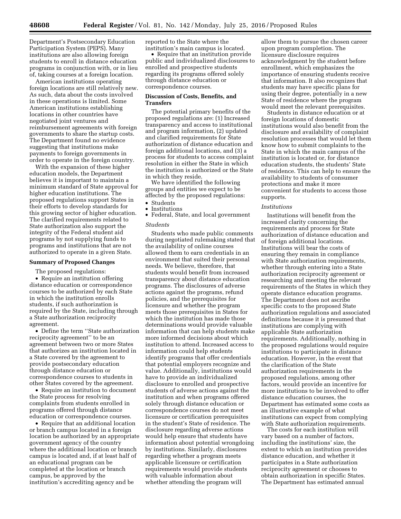Department's Postsecondary Education Participation System (PEPS). Many institutions are also allowing foreign students to enroll in distance education programs in conjunction with, or in lieu of, taking courses at a foreign location.

American institutions operating foreign locations are still relatively new. As such, data about the costs involved in these operations is limited. Some American institutions establishing locations in other countries have negotiated joint ventures and reimbursement agreements with foreign governments to share the startup costs. The Department found no evidence suggesting that institutions make payments to foreign governments in order to operate in the foreign country.

With the expansion of these higher education models, the Department believes it is important to maintain a minimum standard of State approval for higher education institutions. The proposed regulations support States in their efforts to develop standards for this growing sector of higher education. The clarified requirements related to State authorization also support the integrity of the Federal student aid programs by not supplying funds to programs and institutions that are not authorized to operate in a given State.

# **Summary of Proposed Changes**

The proposed regulations: • Require an institution offering distance education or correspondence courses to be authorized by each State in which the institution enrolls students, if such authorization is required by the State, including through a State authorization reciprocity agreement.

• Define the term ''State authorization reciprocity agreement'' to be an agreement between two or more States that authorizes an institution located in a State covered by the agreement to provide postsecondary education through distance education or correspondence courses to students in other States covered by the agreement.

• Require an institution to document the State process for resolving complaints from students enrolled in programs offered through distance education or correspondence courses.

• Require that an additional location or branch campus located in a foreign location be authorized by an appropriate government agency of the country where the additional location or branch campus is located and, if at least half of an educational program can be completed at the location or branch campus, be approved by the institution's accrediting agency and be

reported to the State where the institution's main campus is located.

• Require that an institution provide public and individualized disclosures to enrolled and prospective students regarding its programs offered solely through distance education or correspondence courses.

# **Discussion of Costs, Benefits, and Transfers**

The potential primary benefits of the proposed regulations are: (1) Increased transparency and access to institutional and program information, (2) updated and clarified requirements for State authorization of distance education and foreign additional locations, and (3) a process for students to access complaint resolution in either the State in which the institution is authorized or the State in which they reside.

We have identified the following groups and entities we expect to be affected by the proposed regulations: • Students

• Institutions

• Federal, State, and local government

#### *Students*

Students who made public comments during negotiated rulemaking stated that the availability of online courses allowed them to earn credentials in an environment that suited their personal needs. We believe, therefore, that students would benefit from increased transparency about distance education programs. The disclosures of adverse actions against the programs, refund policies, and the prerequisites for licensure and whether the program meets those prerequisites in States for which the institution has made those determinations would provide valuable information that can help students make more informed decisions about which institution to attend. Increased access to information could help students identify programs that offer credentials that potential employers recognize and value. Additionally, institutions would have to provide an individualized disclosure to enrolled and prospective students of adverse actions against the institution and when programs offered solely through distance education or correspondence courses do not meet licensure or certification prerequisites in the student's State of residence. The disclosure regarding adverse actions would help ensure that students have information about potential wrongdoing by institutions. Similarly, disclosures regarding whether a program meets applicable licensure or certification requirements would provide students with valuable information about whether attending the program will

allow them to pursue the chosen career upon program completion. The licensure disclosure requires acknowledgment by the student before enrollment, which emphasizes the importance of ensuring students receive that information. It also recognizes that students may have specific plans for using their degree, potentially in a new State of residence where the program would meet the relevant prerequisites.

Students in distance education or at foreign locations of domestic institutions would also benefit from the disclosure and availability of complaint resolution processes that would let them know how to submit complaints to the State in which the main campus of the institution is located or, for distance education students, the students' State of residence. This can help to ensure the availability to students of consumer protections and make it more convenient for students to access those supports.

#### *Institutions*

Institutions will benefit from the increased clarity concerning the requirements and process for State authorization of distance education and of foreign additional locations. Institutions will bear the costs of ensuring they remain in compliance with State authorization requirements, whether through entering into a State authorization reciprocity agreement or researching and meeting the relevant requirements of the States in which they operate distance education programs. The Department does not ascribe specific costs to the proposed State authorization regulations and associated definitions because it is presumed that institutions are complying with applicable State authorization requirements. Additionally, nothing in the proposed regulations would require institutions to participate in distance education. However, in the event that the clarification of the State authorization requirements in the proposed regulations, among other factors, would provide an incentive for more institutions to be involved to offer distance education courses, the Department has estimated some costs as an illustrative example of what institutions can expect from complying with State authorization requirements.

The costs for each institution will vary based on a number of factors, including the institutions' size, the extent to which an institution provides distance education, and whether it participates in a State authorization reciprocity agreement or chooses to obtain authorization in specific States. The Department has estimated annual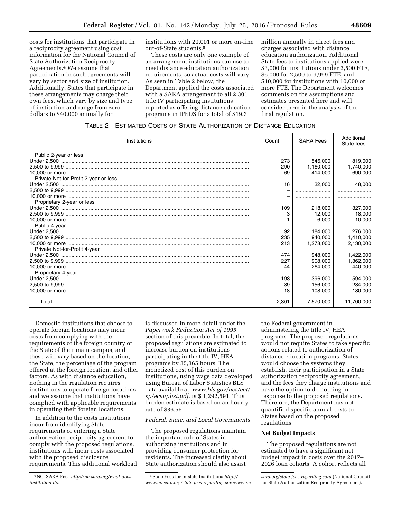costs for institutions that participate in a reciprocity agreement using cost information for the National Council of State Authorization Reciprocity Agreements.4 We assume that participation in such agreements will vary by sector and size of institution. Additionally, States that participate in these arrangements may charge their own fees, which vary by size and type of institution and range from zero dollars to \$40,000 annually for

institutions with 20,001 or more on-line out-of-State students.5

These costs are only one example of an arrangement institutions can use to meet distance education authorization requirements, so actual costs will vary. As seen in Table 2 below, the Department applied the costs associated with a SARA arrangement to all 2,301 title IV participating institutions reported as offering distance education programs in IPEDS for a total of \$19.3

million annually in direct fees and charges associated with distance education authorization. Additional State fees to institutions applied were \$3,000 for institutions under 2,500 FTE, \$6,000 for 2,500 to 9,999 FTE, and \$10,000 for institutions with 10,000 or more FTE. The Department welcomes comments on the assumptions and estimates presented here and will consider them in the analysis of the final regulation.

|  | TABLE 2-ESTIMATED COSTS OF STATE AUTHORIZATION OF DISTANCE EDUCATION |
|--|----------------------------------------------------------------------|
|--|----------------------------------------------------------------------|

| Institutions                          | Count | <b>SARA Fees</b> | Additional<br>State fees |
|---------------------------------------|-------|------------------|--------------------------|
| Public 2-year or less                 |       |                  |                          |
|                                       | 273   | 546.000          | 819,000                  |
|                                       | 290   | 1,160,000        | 1,740,000                |
|                                       | 69    | 414.000          | 690,000                  |
| Private Not-for-Profit 2-year or less |       |                  |                          |
|                                       | 16    | 32,000           | 48,000                   |
|                                       |       |                  |                          |
|                                       |       |                  |                          |
| Proprietary 2-year or less            |       |                  |                          |
|                                       | 109   | 218,000          | 327,000                  |
|                                       | 3     | 12.000           | 18.000                   |
|                                       |       | 6.000            | 10,000                   |
| Public 4-year                         |       |                  |                          |
|                                       | 92    | 184.000          | 276,000                  |
|                                       | 235   | 940.000          | 1,410,000                |
|                                       | 213   | 1.278.000        | 2,130,000                |
| Private Not-for-Profit 4-year         |       |                  |                          |
|                                       | 474   | 948,000          | 1,422,000                |
|                                       | 227   | 908,000          | 1,362,000                |
|                                       | 44    | 264.000          | 440.000                  |
| Proprietary 4-year                    |       |                  |                          |
|                                       | 198   | 396,000          | 594.000                  |
|                                       | 39    | 156,000          | 234,000                  |
|                                       | 18    | 108,000          | 180,000                  |
|                                       | 2,301 | 7.570.000        | 11.700.000               |

Domestic institutions that choose to operate foreign locations may incur costs from complying with the requirements of the foreign country or the State of their main campus, and these will vary based on the location, the State, the percentage of the program offered at the foreign location, and other factors. As with distance education, nothing in the regulation requires institutions to operate foreign locations and we assume that institutions have complied with applicable requirements in operating their foreign locations.

In addition to the costs institutions incur from identifying State requirements or entering a State authorization reciprocity agreement to comply with the proposed regulations, institutions will incur costs associated with the proposed disclosure requirements. This additional workload

4NC–SARA Fees *[http://nc-sara.org/what-does](http://nc-sara.org/what-does-institution-do)[institution-do.](http://nc-sara.org/what-does-institution-do)* 

is discussed in more detail under the *Paperwork Reduction Act of 1995*  section of this preamble. In total, the proposed regulations are estimated to increase burden on institutions participating in the title IV, HEA programs by 35,365 hours. The monetized cost of this burden on institutions, using wage data developed using Bureau of Labor Statistics BLS data available at: *[www.bls.gov/ncs/ect/](http://www.bls.gov/ncs/ect/sp/ecsuphst.pdf) [sp/ecsuphst.pdf,](http://www.bls.gov/ncs/ect/sp/ecsuphst.pdf)* is \$ 1,292,591. This burden estimate is based on an hourly rate of \$36.55.

## *Federal, State, and Local Governments*

The proposed regulations maintain the important role of States in authorizing institutions and in providing consumer protection for residents. The increased clarity about State authorization should also assist

the Federal government in administering the title IV, HEA programs. The proposed regulations would not require States to take specific actions related to authorization of distance education programs. States would choose the systems they establish, their participation in a State authorization reciprocity agreement, and the fees they charge institutions and have the option to do nothing in response to the proposed regulations. Therefore, the Department has not quantified specific annual costs to States based on the proposed regulations.

## **Net Budget Impacts**

The proposed regulations are not estimated to have a significant net budget impact in costs over the 2017– 2026 loan cohorts. A cohort reflects all

<sup>5</sup>State Fees for In-state Institutions *[http://](http://www.nc-sara.org/state-fees-regarding-sarawww.nc-sara.org/state-fees-regarding-sara) [www.nc-sara.org/state-fees-regarding-sarawww.nc-](http://www.nc-sara.org/state-fees-regarding-sarawww.nc-sara.org/state-fees-regarding-sara)*

*[sara.org/state-fees-regarding-sara](http://www.nc-sara.org/state-fees-regarding-sarawww.nc-sara.org/state-fees-regarding-sara)* (National Council for State Authorization Reciprocity Agreement).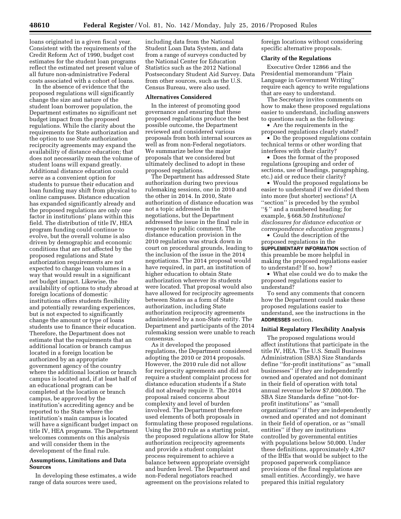loans originated in a given fiscal year. Consistent with the requirements of the Credit Reform Act of 1990, budget cost estimates for the student loan programs reflect the estimated net present value of all future non-administrative Federal costs associated with a cohort of loans.

In the absence of evidence that the proposed regulations will significantly change the size and nature of the student loan borrower population, the Department estimates no significant net budget impact from the proposed regulations. While the clarity about the requirements for State authorization and the option to use State authorization reciprocity agreements may expand the availability of distance education; that does not necessarily mean the volume of student loans will expand greatly. Additional distance education could serve as a convenient option for students to pursue their education and loan funding may shift from physical to online campuses. Distance education has expanded significantly already and the proposed regulations are only one factor in institutions' plans within this field. The distribution of title IV, HEA program funding could continue to evolve, but the overall volume is also driven by demographic and economic conditions that are not affected by the proposed regulations and State authorization requirements are not expected to change loan volumes in a way that would result in a significant net budget impact. Likewise, the availability of options to study abroad at foreign locations of domestic institutions offers students flexibility and potentially rewarding experiences, but is not expected to significantly change the amount or type of loans students use to finance their education. Therefore, the Department does not estimate that the requirements that an additional location or branch campus located in a foreign location be authorized by an appropriate government agency of the country where the additional location or branch campus is located and, if at least half of an educational program can be completed at the location or branch campus, be approved by the institution's accrediting agency and be reported to the State where the institution's main campus is located will have a significant budget impact on title IV, HEA programs. The Department welcomes comments on this analysis and will consider them in the development of the final rule.

# **Assumptions, Limitations and Data Sources**

In developing these estimates, a wide range of data sources were used,

including data from the National Student Loan Data System, and data from a range of surveys conducted by the National Center for Education Statistics such as the 2012 National Postsecondary Student Aid Survey. Data from other sources, such as the U.S. Census Bureau, were also used.

#### **Alternatives Considered**

In the interest of promoting good governance and ensuring that these proposed regulations produce the best possible outcome, the Department reviewed and considered various proposals from both internal sources as well as from non-Federal negotiators. We summarize below the major proposals that we considered but ultimately declined to adopt in these proposed regulations.

The Department has addressed State authorization during two previous rulemaking sessions, one in 2010 and the other in 2014. In 2010, State authorization of distance education was not a topic addressed in the negotiations, but the Department addressed the issue in the final rule in response to public comment. The distance education provision in the 2010 regulation was struck down in court on procedural grounds, leading to the inclusion of the issue in the 2014 negotiations. The 2014 proposal would have required, in part, an institution of higher education to obtain State authorization wherever its students were located. That proposal would also have allowed for reciprocity agreements between States as a form of State authorization, including State authorization reciprocity agreements administered by a non-State entity. The Department and participants of the 2014 rulemaking session were unable to reach consensus.

As it developed the proposed regulations, the Department considered adopting the 2010 or 2014 proposals. However, the 2010 rule did not allow for reciprocity agreements and did not require a student complaint process for distance education students if a State did not already require it. The 2014 proposal raised concerns about complexity and level of burden involved. The Department therefore used elements of both proposals in formulating these proposed regulations. Using the 2010 rule as a starting point, the proposed regulations allow for State authorization reciprocity agreements and provide a student complaint process requirement to achieve a balance between appropriate oversight and burden level. The Department and non-Federal negotiators reached agreement on the provisions related to

foreign locations without considering specific alternative proposals.

### **Clarity of the Regulations**

Executive Order 12866 and the Presidential memorandum ''Plain Language in Government Writing'' require each agency to write regulations that are easy to understand.

The Secretary invites comments on how to make these proposed regulations easier to understand, including answers to questions such as the following:

• Are the requirements in the proposed regulations clearly stated?

• Do the proposed regulations contain technical terms or other wording that interferes with their clarity?

• Does the format of the proposed regulations (grouping and order of sections, use of headings, paragraphing, etc.) aid or reduce their clarity?

• Would the proposed regulations be easier to understand if we divided them into more (but shorter) sections? (A ''section'' is preceded by the symbol ''§ '' and a numbered heading; for example, § 668.50 *Institutional disclosures for distance education or correspondence education programs.*)

• Could the description of the proposed regulations in the **SUPPLEMENTARY INFORMATION** section of this preamble be more helpful in making the proposed regulations easier to understand? If so, how?

• What else could we do to make the proposed regulations easier to understand?

To send any comments that concern how the Department could make these proposed regulations easier to understand, see the instructions in the **ADDRESSES** section.

## **Initial Regulatory Flexibility Analysis**

The proposed regulations would affect institutions that participate in the title IV, HEA. The U.S. Small Business Administration (SBA) Size Standards define ''for-profit institutions'' as ''small businesses'' if they are independently owned and operated and not dominant in their field of operation with total annual revenue below \$7,000,000. The SBA Size Standards define ''not-forprofit institutions'' as ''small organizations'' if they are independently owned and operated and not dominant in their field of operation, or as ''small entities'' if they are institutions controlled by governmental entities with populations below 50,000. Under these definitions, approximately 4,267 of the IHEs that would be subject to the proposed paperwork compliance provisions of the final regulations are small entities. Accordingly, we have prepared this initial regulatory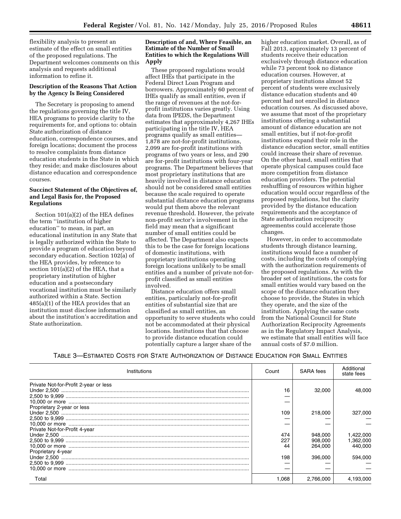flexibility analysis to present an estimate of the effect on small entities of the proposed regulations. The Department welcomes comments on this analysis and requests additional information to refine it.

# **Description of the Reasons That Action by the Agency Is Being Considered**

The Secretary is proposing to amend the regulations governing the title IV, HEA programs to provide clarity to the requirements for, and options to: obtain State authorization of distance education, correspondence courses, and foreign locations; document the process to resolve complaints from distance education students in the State in which they reside; and make disclosures about distance education and correspondence courses.

# **Succinct Statement of the Objectives of, and Legal Basis for, the Proposed Regulations**

Section 101(a)(2) of the HEA defines the term ''institution of higher education'' to mean, in part, an educational institution in any State that is legally authorized within the State to provide a program of education beyond secondary education. Section 102(a) of the HEA provides, by reference to section 101(a)(2) of the HEA, that a proprietary institution of higher education and a postsecondary vocational institution must be similarly authorized within a State. Section 485(a)(1) of the HEA provides that an institution must disclose information about the institution's accreditation and State authorization.

# **Description of and, Where Feasible, an Estimate of the Number of Small Entities to which the Regulations Will Apply**

These proposed regulations would affect IHEs that participate in the Federal Direct Loan Program and borrowers. Approximately 60 percent of IHEs qualify as small entities, even if the range of revenues at the not-forprofit institutions varies greatly. Using data from IPEDS, the Department estimates that approximately 4,267 IHEs participating in the title IV, HEA programs qualify as small entities— 1,878 are not-for-profit institutions, 2,099 are for-profit institutions with programs of two years or less, and 290 are for-profit institutions with four-year programs. The Department believes that most proprietary institutions that are heavily involved in distance education should not be considered small entities because the scale required to operate substantial distance education programs would put them above the relevant revenue threshold. However, the private non-profit sector's involvement in the field may mean that a significant number of small entities could be affected. The Department also expects this to be the case for foreign locations of domestic institutions, with proprietary institutions operating foreign locations unlikely to be small entities and a number of private not-forprofit classified as small entities involved.

Distance education offers small entities, particularly not-for-profit entities of substantial size that are classified as small entities, an opportunity to serve students who could not be accommodated at their physical locations. Institutions that that choose to provide distance education could potentially capture a larger share of the

higher education market. Overall, as of Fall 2013, approximately 13 percent of students receive their education exclusively through distance education while 73 percent took no distance education courses. However, at proprietary institutions almost 52 percent of students were exclusively distance education students and 40 percent had not enrolled in distance education courses. As discussed above, we assume that most of the proprietary institutions offering a substantial amount of distance education are not small entities, but if not-for-profit institutions expand their role in the distance education sector, small entities could increase their share of revenue. On the other hand, small entities that operate physical campuses could face more competition from distance education providers. The potential reshuffling of resources within higher education would occur regardless of the proposed regulations, but the clarity provided by the distance education requirements and the acceptance of State authorization reciprocity agreementss could accelerate those changes.

However, in order to accommodate students through distance learning, institutions would face a number of costs, including the costs of complying with the authorization requirements of the proposed regulations. As with the broader set of institutions, the costs for small entities would vary based on the scope of the distance education they choose to provide, the States in which they operate, and the size of the institution. Applying the same costs from the National Council for State Authorization Reciprocity Agreements as in the Regulatory Impact Analysis, we estimate that small entities will face annual costs of \$7.0 million.

TABLE 3—ESTIMATED COSTS FOR STATE AUTHORIZATION OF DISTANCE EDUCATION FOR SMALL ENTITIES

| Institutions                          | Count | SARA fees | Additional<br>state fees |
|---------------------------------------|-------|-----------|--------------------------|
| Private Not-for-Profit 2-year or less |       |           |                          |
|                                       | 16    | 32,000    | 48.000                   |
|                                       |       |           |                          |
|                                       |       |           |                          |
| Proprietary 2-year or less            |       |           |                          |
|                                       | 109   | 218,000   | 327,000                  |
|                                       |       |           |                          |
|                                       |       |           |                          |
| Private Not-for-Profit 4-year         |       |           |                          |
|                                       | 474   | 948,000   | 1.422.000                |
|                                       | 227   | 908.000   | 1,362,000                |
|                                       | 44    | 264.000   | 440.000                  |
| Proprietary 4-year                    |       |           |                          |
|                                       | 198   | 396,000   | 594.000                  |
|                                       |       |           |                          |
|                                       |       |           |                          |
| Total                                 | 1.068 | 2.766.000 | 4.193.000                |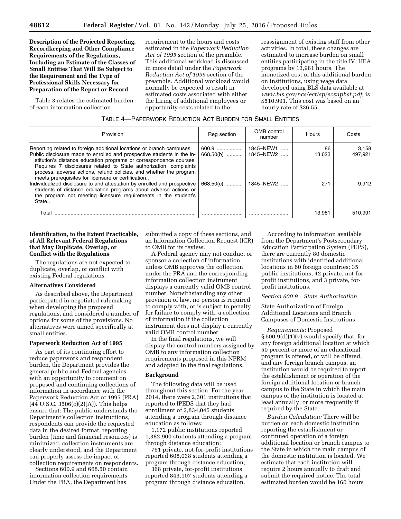**Description of the Projected Reporting, Recordkeeping and Other Compliance Requirements of the Regulations, Including an Estimate of the Classes of Small Entities That Will Be Subject to the Requirement and the Type of Professional Skills Necessary for Preparation of the Report or Record** 

Table 3 relates the estimated burden of each information collection

requirement to the hours and costs estimated in the *Paperwork Reduction Act of 1995* section of the preamble. This additional workload is discussed in more detail under the *Paperwork Reduction Act of 1995* section of the preamble. Additional workload would normally be expected to result in estimated costs associated with either the hiring of additional employees or opportunity costs related to the

reassignment of existing staff from other activities. In total, these changes are estimated to increase burden on small entities participating in the title IV, HEA programs by 13,981 hours. The monetized cost of this additional burden on institutions, using wage data developed using BLS data available at *[www.bls.gov/ncs/ect/sp/ecsuphst.pdf,](http://www.bls.gov/ncs/ect/sp/ecsuphst.pdf)* is \$510,991. This cost was based on an hourly rate of \$36.55.

# TABLE 4—PAPERWORK REDUCTION ACT BURDEN FOR SMALL ENTITIES

| Provision                                                                                                                                                                                                                                                                                                                                                                                                                                                                                                                                                                                                                                 | Reg section                     | OMB control<br>number               | Hours               | Costs                     |
|-------------------------------------------------------------------------------------------------------------------------------------------------------------------------------------------------------------------------------------------------------------------------------------------------------------------------------------------------------------------------------------------------------------------------------------------------------------------------------------------------------------------------------------------------------------------------------------------------------------------------------------------|---------------------------------|-------------------------------------|---------------------|---------------------------|
| Reporting related to foreign additional locations or branch campuses.<br>Public disclosure made to enrolled and prospective students in the in-<br>stitution's distance education programs or correspondence courses.<br>Requires 7 disclosures related to State authorization, complaints<br>process, adverse actions, refund policies, and whether the program<br>meets prerequisites for licensure or certification<br>Individualized disclosure to and attestation by enrolled and prospective<br>students of distance education programs about adverse actions or<br>the program not meeting licensure requirements in the student's | 600.9<br>668.50(b)<br>668.50(c) | 1845–NEW1<br>1845-NEW2<br>1845–NEW2 | 86<br>13.623<br>271 | 3.158<br>497.921<br>9.912 |
| State                                                                                                                                                                                                                                                                                                                                                                                                                                                                                                                                                                                                                                     |                                 |                                     |                     |                           |
| Tota                                                                                                                                                                                                                                                                                                                                                                                                                                                                                                                                                                                                                                      |                                 |                                     | 13.981              | 510.991                   |

# **Identification, to the Extent Practicable, of All Relevant Federal Regulations that May Duplicate, Overlap, or Conflict with the Regulations**

The regulations are not expected to duplicate, overlap, or conflict with existing Federal regulations.

#### **Alternatives Considered**

As described above, the Department participated in negotiated rulemaking when developing the proposed regulations, and considered a number of options for some of the provisions. No alternatives were aimed specifically at small entities.

# **Paperwork Reduction Act of 1995**

As part of its continuing effort to reduce paperwork and respondent burden, the Department provides the general public and Federal agencies with an opportunity to comment on proposed and continuing collections of information in accordance with the Paperwork Reduction Act of 1995 (PRA)  $(44 \text{ U.S.C. } 3506(c)(2)(A))$ . This helps ensure that: The public understands the Department's collection instructions, respondents can provide the requested data in the desired format, reporting burden (time and financial resources) is minimized, collection instruments are clearly understood, and the Department can properly assess the impact of collection requirements on respondents.

Sections 600.9 and 668.50 contain information collection requirements. Under the PRA, the Department has

submitted a copy of these sections, and an Information Collection Request (ICR) to OMB for its review.

A Federal agency may not conduct or sponsor a collection of information unless OMB approves the collection under the PRA and the corresponding information collection instrument displays a currently valid OMB control number. Notwithstanding any other provision of law, no person is required to comply with, or is subject to penalty for failure to comply with, a collection of information if the collection instrument does not display a currently valid OMB control number.

In the final regulations, we will display the control numbers assigned by OMB to any information collection requirements proposed in this NPRM and adopted in the final regulations.

# **Background**

The following data will be used throughout this section: For the year 2014, there were 2,301 institutions that reported to IPEDS that they had enrollment of 2,834,045 students attending a program through distance education as follows:

1,172 public institutions reported 1,382,900 students attending a program through distance education;

761 private, not-for-profit institutions reported 608,038 students attending a program through distance education;

368 private, for-profit institutions reported 843,107 students attending a program through distance education.

According to information available from the Department's Postsecondary Education Participation System (PEPS), there are currently 80 domestic institutions with identified additional locations in 60 foreign countries; 35 public institutions, 42 private, not-forprofit institutions, and 3 private, forprofit institutions.

## *Section 600.9 State Authorization*

State Authorization of Foreign Additional Locations and Branch Campuses of Domestic Institutions

*Requirements:* Proposed  $\S 600.9(d)(1)(v)$  would specify that, for any foreign additional location at which 50 percent or more of an educational program is offered, or will be offered, and any foreign branch campus, an institution would be required to report the establishment or operation of the foreign additional location or branch campus to the State in which the main campus of the institution is located at least annually, or more frequently if required by the State.

*Burden Calculation:* There will be burden on each domestic institution reporting the establishment or continued operation of a foreign additional location or branch campus to the State in which the main campus of the domestic institution is located. We estimate that each institution will require 2 hours annually to draft and submit the required notice. The total estimated burden would be 160 hours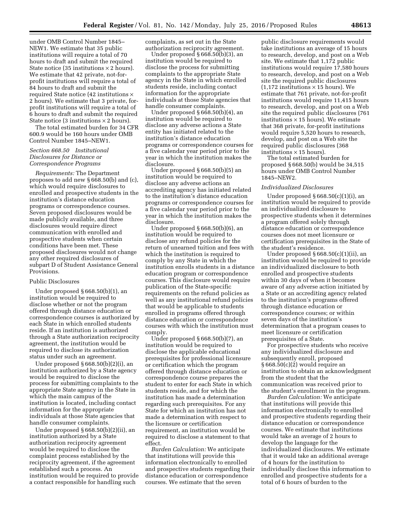under OMB Control Number 1845– NEW1. We estimate that 35 public institutions will require a total of 70 hours to draft and submit the required State notice (35 institutions  $\times$  2 hours). We estimate that 42 private, not-forprofit institutions will require a total of 84 hours to draft and submit the required State notice (42 institutions × 2 hours). We estimate that 3 private, forprofit institutions will require a total of 6 hours to draft and submit the required State notice (3 institutions  $\times$  2 hours).

The total estimated burden for 34 CFR 600.9 would be 160 hours under OMB Control Number 1845–NEW1.

# *Section 668.50 Institutional Disclosures for Distance or Correspondence Programs*

*Requirements:* The Department proposes to add new § 668.50(b) and (c), which would require disclosures to enrolled and prospective students in the institution's distance education programs or correspondence courses. Seven proposed disclosures would be made publicly available, and three disclosures would require direct communication with enrolled and prospective students when certain conditions have been met. These proposed disclosures would not change any other required disclosures of subpart D of Student Assistance General Provisions.

#### Public Disclosures

Under proposed § 668.50(b)(1), an institution would be required to disclose whether or not the program offered through distance education or correspondence courses is authorized by each State in which enrolled students reside. If an institution is authorized through a State authorization reciprocity agreement, the institution would be required to disclose its authorization status under such an agreement.

Under proposed § 668.50(b)(2)(i), an institution authorized by a State agency would be required to disclose the process for submitting complaints to the appropriate State agency in the State in which the main campus of the institution is located, including contact information for the appropriate individuals at those State agencies that handle consumer complaints.

Under proposed § 668.50(b)(2)(ii), an institution authorized by a State authorization reciprocity agreement would be required to disclose the complaint process established by the reciprocity agreement, if the agreement established such a process. An institution would be required to provide a contact responsible for handling such

complaints, as set out in the State authorization reciprocity agreement.

Under proposed § 668.50(b)(3), an institution would be required to disclose the process for submitting complaints to the appropriate State agency in the State in which enrolled students reside, including contact information for the appropriate individuals at those State agencies that handle consumer complaints.

Under proposed  $\S 668.50(b)(4)$ , an institution would be required to disclose any adverse actions a State entity has initiated related to the institution's distance education programs or correspondence courses for a five calendar year period prior to the year in which the institution makes the disclosure.

Under proposed § 668.50(b)(5) an institution would be required to disclose any adverse actions an accrediting agency has initiated related to the institution's distance education programs or correspondence courses for a five calendar year period prior to the year in which the institution makes the disclosure.

Under proposed § 668.50(b)(6), an institution would be required to disclose any refund policies for the return of unearned tuition and fees with which the institution is required to comply by any State in which the institution enrolls students in a distance education program or correspondence courses. This disclosure would require publication of the State-specific requirements on the refund policies as well as any institutional refund policies that would be applicable to students enrolled in programs offered through distance education or correspondence courses with which the institution must comply.

Under proposed § 668.50(b)(7), an institution would be required to disclose the applicable educational prerequisites for professional licensure or certification which the program offered through distance education or correspondence course prepares the student to enter for each State in which students reside, and for which the institution has made a determination regarding such prerequisites. For any State for which an institution has not made a determination with respect to the licensure or certification requirement, an institution would be required to disclose a statement to that effect.

*Burden Calculation:* We anticipate that institutions will provide this information electronically to enrolled and prospective students regarding their distance education or correspondence courses. We estimate that the seven

public disclosure requirements would take institutions an average of 15 hours to research, develop, and post on a Web site. We estimate that 1,172 public institutions would require 17,580 hours to research, develop, and post on a Web site the required public disclosures  $(1,172$  institutions  $\times$  15 hours). We estimate that 761 private, not-for-profit institutions would require 11,415 hours to research, develop, and post on a Web site the required public disclosures (761 institutions  $\times$  15 hours). We estimate that 368 private, for-profit institutions would require 5,520 hours to research, develop, and post on a Web site the required public disclosures (368 institutions  $\times$  15 hours).

The total estimated burden for proposed § 668.50(b) would be 34,515 hours under OMB Control Number 1845–NEW2.

# *Individualized Disclosures*

Under proposed  $§ 668.50(c)(1)(i)$ , an institution would be required to provide an individualized disclosure to prospective students when it determines a program offered solely through distance education or correspondence courses does not meet licensure or certification prerequisites in the State of the student's residence.

Under proposed  $§ 668.50(c)(1)(ii)$ , an institution would be required to provide an individualized disclosure to both enrolled and prospective students within 30 days of when it becomes aware of any adverse action initiated by a State or an accrediting agency related to the institution's programs offered through distance education or correspondence courses; or within seven days of the institution's determination that a program ceases to meet licensure or certification prerequisites of a State.

For prospective students who receive any individualized disclosure and subsequently enroll, proposed § 668.50(c)(2) would require an institution to obtain an acknowledgment from the student that the communication was received prior to the student's enrollment in the program.

*Burden Calculation:* We anticipate that institutions will provide this information electronically to enrolled and prospective students regarding their distance education or correspondence courses. We estimate that institutions would take an average of 2 hours to develop the language for the individualized disclosures. We estimate that it would take an additional average of 4 hours for the institution to individually disclose this information to enrolled and prospective students for a total of 6 hours of burden to the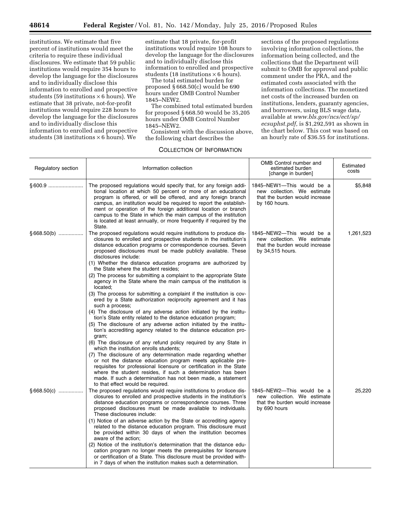institutions. We estimate that five percent of institutions would meet the criteria to require these individual disclosures. We estimate that 59 public institutions would require 354 hours to develop the language for the disclosures and to individually disclose this information to enrolled and prospective students (59 institutions  $\times$  6 hours). We estimate that 38 private, not-for-profit institutions would require 228 hours to develop the language for the disclosures and to individually disclose this information to enrolled and prospective students (38 institutions  $\times$  6 hours). We

estimate that 18 private, for-profit institutions would require 108 hours to develop the language for the disclosures and to individually disclose this information to enrolled and prospective students (18 institutions  $\times$  6 hours).

The total estimated burden for proposed § 668.50(c) would be 690 hours under OMB Control Number 1845–NEW2.

The combined total estimated burden for proposed § 668.50 would be 35,205 hours under OMB Control Number 1845–NEW2.

Consistent with the discussion above, the following chart describes the

# COLLECTION OF INFORMATION

sections of the proposed regulations involving information collections, the information being collected, and the collections that the Department will submit to OMB for approval and public comment under the PRA, and the estimated costs associated with the information collections. The monetized net costs of the increased burden on institutions, lenders, guaranty agencies, and borrowers, using BLS wage data, available at *[www.bls.gov/ncs/ect/sp/](http://www.bls.gov/ncs/ect/sp/ecsuphst.pdf) [ecsuphst.pdf,](http://www.bls.gov/ncs/ect/sp/ecsuphst.pdf)* is \$1,292,591 as shown in the chart below. This cost was based on an hourly rate of \$36.55 for institutions.

| Regulatory section | Information collection                                                                                                                                                                                                                                                                                                                                                                                                                                                                                                                                                                                                                                                                                                                                                                                                                                                                                                                                                                                                                                                                                                                                                                                                                                                                                                                                                                                                                                                         | OMB Control number and<br>estimated burden<br>[change in burden]                                               | Estimated<br>costs |
|--------------------|--------------------------------------------------------------------------------------------------------------------------------------------------------------------------------------------------------------------------------------------------------------------------------------------------------------------------------------------------------------------------------------------------------------------------------------------------------------------------------------------------------------------------------------------------------------------------------------------------------------------------------------------------------------------------------------------------------------------------------------------------------------------------------------------------------------------------------------------------------------------------------------------------------------------------------------------------------------------------------------------------------------------------------------------------------------------------------------------------------------------------------------------------------------------------------------------------------------------------------------------------------------------------------------------------------------------------------------------------------------------------------------------------------------------------------------------------------------------------------|----------------------------------------------------------------------------------------------------------------|--------------------|
|                    | The proposed regulations would specify that, for any foreign addi-<br>tional location at which 50 percent or more of an educational<br>program is offered, or will be offered, and any foreign branch<br>campus, an institution would be required to report the establish-<br>ment or operation of the foreign additional location or branch<br>campus to the State in which the main campus of the institution<br>is located at least annually, or more frequently if required by the<br>State.                                                                                                                                                                                                                                                                                                                                                                                                                                                                                                                                                                                                                                                                                                                                                                                                                                                                                                                                                                               | 1845-NEW1-This would be a<br>new collection. We estimate<br>that the burden would increase<br>by 160 hours.    | \$5,848            |
| $§668.50(b)$       | The proposed regulations would require institutions to produce dis-<br>closures to enrolled and prospective students in the institution's<br>distance education programs or correspondence courses. Seven<br>proposed disclosures must be made publicly available. These<br>disclosures include:<br>(1) Whether the distance education programs are authorized by<br>the State where the student resides;<br>(2) The process for submitting a complaint to the appropriate State<br>agency in the State where the main campus of the institution is<br>located;<br>(3) The process for submitting a complaint if the institution is cov-<br>ered by a State authorization reciprocity agreement and it has<br>such a process;<br>(4) The disclosure of any adverse action initiated by the institu-<br>tion's State entity related to the distance education program;<br>(5) The disclosure of any adverse action initiated by the institu-<br>tion's accrediting agency related to the distance education pro-<br>gram;<br>(6) The disclosure of any refund policy required by any State in<br>which the institution enrolls students;<br>(7) The disclosure of any determination made regarding whether<br>or not the distance education program meets applicable pre-<br>requisites for professional licensure or certification in the State<br>where the student resides, if such a determination has been<br>made. If such a determination has not been made, a statement | 1845-NEW2-This would be a<br>new collection. We estimate<br>that the burden would increase<br>by 34,515 hours. | 1,261,523          |
| $§668.50(c)$       | to that effect would be required.<br>The proposed regulations would require institutions to produce dis-<br>closures to enrolled and prospective students in the institution's<br>distance education programs or correspondence courses. Three<br>proposed disclosures must be made available to individuals.<br>These disclosures include:<br>(1) Notice of an adverse action by the State or accrediting agency<br>related to the distance education program. This disclosure must<br>be provided within 30 days of when the institution becomes<br>aware of the action;<br>(2) Notice of the institution's determination that the distance edu-<br>cation program no longer meets the prerequisites for licensure<br>or certification of a State. This disclosure must be provided with-<br>in 7 days of when the institution makes such a determination.                                                                                                                                                                                                                                                                                                                                                                                                                                                                                                                                                                                                                   | 1845-NEW2-This would be a<br>new collection. We estimate<br>that the burden would increase<br>by 690 hours     | 25,220             |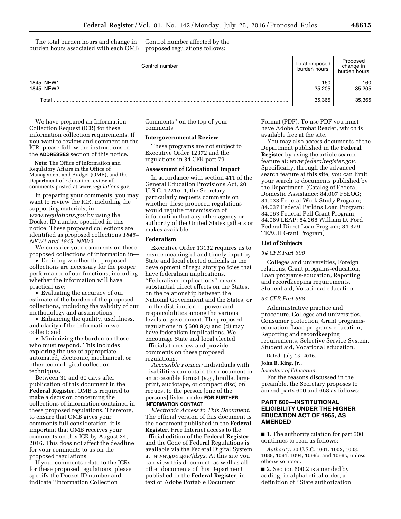The total burden hours and change in burden hours associated with each OMB

Control number affected by the proposed regulations follows:

| Control number         | Total proposed<br>burden hours | Proposed<br>change in<br>burden hours |
|------------------------|--------------------------------|---------------------------------------|
| 1845-NEW1<br>1845-NEW2 | 160<br>35.205                  | 160<br>35,205                         |
| Total                  | 35.365                         | 35,365                                |

We have prepared an Information Collection Request (ICR) for these information collection requirements. If you want to review and comment on the ICR, please follow the instructions in the **ADDRESSES** section of this notice.

**Note:** The Office of Information and Regulatory Affairs in the Office of Management and Budget (OMB), and the Department of Education review all comments posted at *[www.regulations.gov.](http://www.regulations.gov)* 

In preparing your comments, you may want to review the ICR, including the supporting materials, in *[www.regulations.gov](http://www.regulations.gov)* by using the Docket ID number specified in this notice. These proposed collections are identified as proposed collections *1845– NEW1 and 1845–NEW2.* 

We consider your comments on these proposed collections of information in—

• Deciding whether the proposed collections are necessary for the proper performance of our functions, including whether the information will have practical use;

• Evaluating the accuracy of our estimate of the burden of the proposed collections, including the validity of our methodology and assumptions;

• Enhancing the quality, usefulness, and clarity of the information we collect; and

• Minimizing the burden on those who must respond. This includes exploring the use of appropriate automated, electronic, mechanical, or other technological collection techniques.

Between 30 and 60 days after publication of this document in the **Federal Register**, OMB is required to make a decision concerning the collections of information contained in these proposed regulations. Therefore, to ensure that OMB gives your comments full consideration, it is important that OMB receives your comments on this ICR by August 24, 2016. This does not affect the deadline for your comments to us on the proposed regulations.

If your comments relate to the ICRs for these proposed regulations, please specify the Docket ID number and indicate ''Information Collection

Comments'' on the top of your comments.

#### **Intergovernmental Review**

These programs are not subject to Executive Order 12372 and the regulations in 34 CFR part 79.

# **Assessment of Educational Impact**

In accordance with section 411 of the General Education Provisions Act, 20 U.S.C. 1221e–4, the Secretary particularly requests comments on whether these proposed regulations would require transmission of information that any other agency or authority of the United States gathers or makes available.

#### **Federalism**

Executive Order 13132 requires us to ensure meaningful and timely input by State and local elected officials in the development of regulatory policies that have federalism implications. ''Federalism implications'' means substantial direct effects on the States, on the relationship between the National Government and the States, or on the distribution of power and responsibilities among the various levels of government. The proposed regulations in § 600.9(c) and (d) may have federalism implications. We encourage State and local elected officials to review and provide comments on these proposed regulations.

*Accessible Format:* Individuals with disabilities can obtain this document in an accessible format (*e.g.,* braille, large print, audiotape, or compact disc) on request to the person [one of the persons] listed under **FOR FURTHER INFORMATION CONTACT**.

*Electronic Access to This Document:*  The official version of this document is the document published in the **Federal Register**. Free Internet access to the official edition of the **Federal Register**  and the Code of Federal Regulations is available via the Federal Digital System at: *[www.gpo.gov/fdsys.](http://www.gpo.gov/fdsys)* At this site you can view this document, as well as all other documents of this Department published in the **Federal Register**, in text or Adobe Portable Document

Format (PDF). To use PDF you must have Adobe Acrobat Reader, which is available free at the site.

You may also access documents of the Department published in the **Federal Register** by using the article search feature at: *[www.federalregister.gov.](http://www.federalregister.gov)*  Specifically, through the advanced search feature at this site, you can limit your search to documents published by the Department. (Catalog of Federal Domestic Assistance: 84.007 FSEOG; 84.033 Federal Work Study Program; 84.037 Federal Perkins Loan Program; 84.063 Federal Pell Grant Program; 84.069 LEAP; 84.268 William D. Ford Federal Direct Loan Program; 84.379 TEACH Grant Program)

#### **List of Subjects**

#### *34 CFR Part 600*

Colleges and universities, Foreign relations, Grant programs-education, Loan programs-education, Reporting and recordkeeping requirements, Student aid, Vocational education.

#### *34 CFR Part 668*

Administrative practice and procedure, Colleges and universities, Consumer protection, Grant programseducation, Loan programs-education, Reporting and recordkeeping requirements, Selective Service System, Student aid, Vocational education.

Dated: July 13, 2016.

## **John B. King, Jr.,**

*Secretary of Education.* 

For the reasons discussed in the preamble, the Secretary proposes to amend parts 600 and 668 as follows:

# **PART 600—INSTITUTIONAL ELIGIBILITY UNDER THE HIGHER EDUCATION ACT OF 1965, AS AMENDED**

■ 1. The authority citation for part 600 continues to read as follows:

*Authority:* 20 U.S.C. 1001, 1002, 1003, 1088, 1091, 1094, 1099b, and 1099c, unless otherwise noted.

■ 2. Section 600.2 is amended by adding, in alphabetical order, a definition of ''State authorization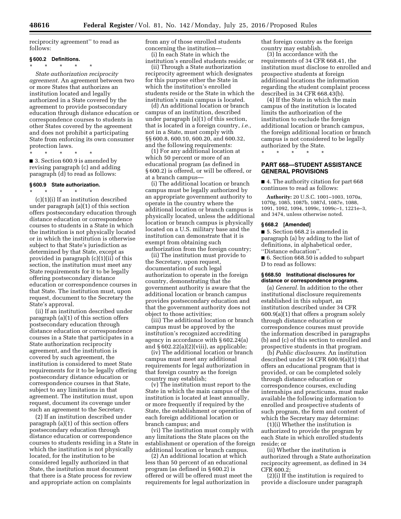reciprocity agreement'' to read as follows:

#### **§ 600.2 Definitions.**

\* \* \* \* \*

*State authorization reciprocity agreement.* An agreement between two or more States that authorizes an institution located and legally authorized in a State covered by the agreement to provide postsecondary education through distance education or correspondence courses to students in other States covered by the agreement and does not prohibit a participating State from enforcing its own consumer protection laws.

\* \* \* \* \*

■ 3. Section 600.9 is amended by revising paragraph (c) and adding paragraph (d) to read as follows:

# **§ 600.9 State authorization.**

\* \* \* \* \* (c)(1)(i) If an institution described under paragraph (a)(1) of this section offers postsecondary education through distance education or correspondence courses to students in a State in which the institution is not physically located or in which the institution is otherwise subject to that State's jurisdiction as determined by that State, except as provided in paragraph (c)(1)(ii) of this section, the institution must meet any State requirements for it to be legally offering postsecondary distance education or correspondence courses in that State. The institution must, upon request, document to the Secretary the State's approval.

(ii) If an institution described under paragraph (a)(1) of this section offers postsecondary education through distance education or correspondence courses in a State that participates in a State authorization reciprocity agreement, and the institution is covered by such agreement, the institution is considered to meet State requirements for it to be legally offering postsecondary distance education or correspondence courses in that State, subject to any limitations in that agreement. The institution must, upon request, document its coverage under such an agreement to the Secretary.

(2) If an institution described under paragraph (a)(1) of this section offers postsecondary education through distance education or correspondence courses to students residing in a State in which the institution is not physically located, for the institution to be considered legally authorized in that State, the institution must document that there is a State process for review and appropriate action on complaints

from any of those enrolled students concerning the institution— (i) In each State in which the

institution's enrolled students reside; or

(ii) Through a State authorization reciprocity agreement which designates for this purpose either the State in which the institution's enrolled students reside or the State in which the institution's main campus is located.

(d) An additional location or branch campus of an institution, described under paragraph (a)(1) of this section, that is located in a foreign country, *i.e.,*  not in a State, must comply with §§ 600.8, 600.10, 600.20, and 600.32, and the following requirements:

(1) For any additional location at which 50 percent or more of an educational program (as defined in § 600.2) is offered, or will be offered, or at a branch campus—

(i) The additional location or branch campus must be legally authorized by an appropriate government authority to operate in the country where the additional location or branch campus is physically located, unless the additional location or branch campus is physically located on a U.S. military base and the institution can demonstrate that it is exempt from obtaining such authorization from the foreign country;

(ii) The institution must provide to the Secretary, upon request, documentation of such legal authorization to operate in the foreign country, demonstrating that the government authority is aware that the additional location or branch campus provides postsecondary education and that the government authority does not object to those activities;

(iii) The additional location or branch campus must be approved by the institution's recognized accrediting agency in accordance with § 602.24(a) and  $§ 602.22(a)(2)(viii)$ , as applicable;

(iv) The additional location or branch campus must meet any additional requirements for legal authorization in that foreign country as the foreign country may establish;

(v) The institution must report to the State in which the main campus of the institution is located at least annually, or more frequently if required by the State, the establishment or operation of each foreign additional location or branch campus; and

(vi) The institution must comply with any limitations the State places on the establishment or operation of the foreign additional location or branch campus.

(2) An additional location at which less than 50 percent of an educational program (as defined in § 600.2) is offered or will be offered must meet the requirements for legal authorization in

that foreign country as the foreign country may establish.

(3) In accordance with the requirements of 34 CFR 668.41, the institution must disclose to enrolled and prospective students at foreign additional locations the information regarding the student complaint process described in 34 CFR 668.43(b).

(4) If the State in which the main campus of the institution is located limits the authorization of the institution to exclude the foreign additional location or branch campus, the foreign additional location or branch campus is not considered to be legally authorized by the State.

**PART 668—STUDENT ASSISTANCE** 

\* \* \* \* \*

# **GENERAL PROVISIONS**

■ 4. The authority citation for part 668 continues to read as follows:

**Authority:** 20 U.S.C. 1001–1003, 1070a, 1070g, 1085, 1087b, 1087d, 1087e, 1088, 1091, 1092, 1094, 1099c, 1099c–1, 1221e–3, and 3474, unless otherwise noted.

#### **§ 668.2 [Amended]**

■ 5. Section 668.2 is amended in paragraph (a) by adding to the list of definitions, in alphabetical order, ''Distance education''.

■ 6. Section 668.50 is added to subpart D to read as follows:

#### **§ 668.50 Institutional disclosures for distance or correspondence programs.**

(a) *General.* In addition to the other institutional disclosure requirements established in this subpart, an institution described under 34 CFR 600.9(a)(1) that offers a program solely through distance education or correspondence courses must provide the information described in paragraphs (b) and (c) of this section to enrolled and prospective students in that program.

(b) *Public disclosures.* An institution described under 34 CFR 600.9(a)(1) that offers an educational program that is provided, or can be completed solely through distance education or correspondence courses, excluding internships and practicums, must make available the following information to enrolled and prospective students of such program, the form and content of which the Secretary may determine:

(1)(i) Whether the institution is authorized to provide the program by each State in which enrolled students reside; or

(ii) Whether the institution is authorized through a State authorization reciprocity agreement, as defined in 34 CFR 600.2;

(2)(i) If the institution is required to provide a disclosure under paragraph